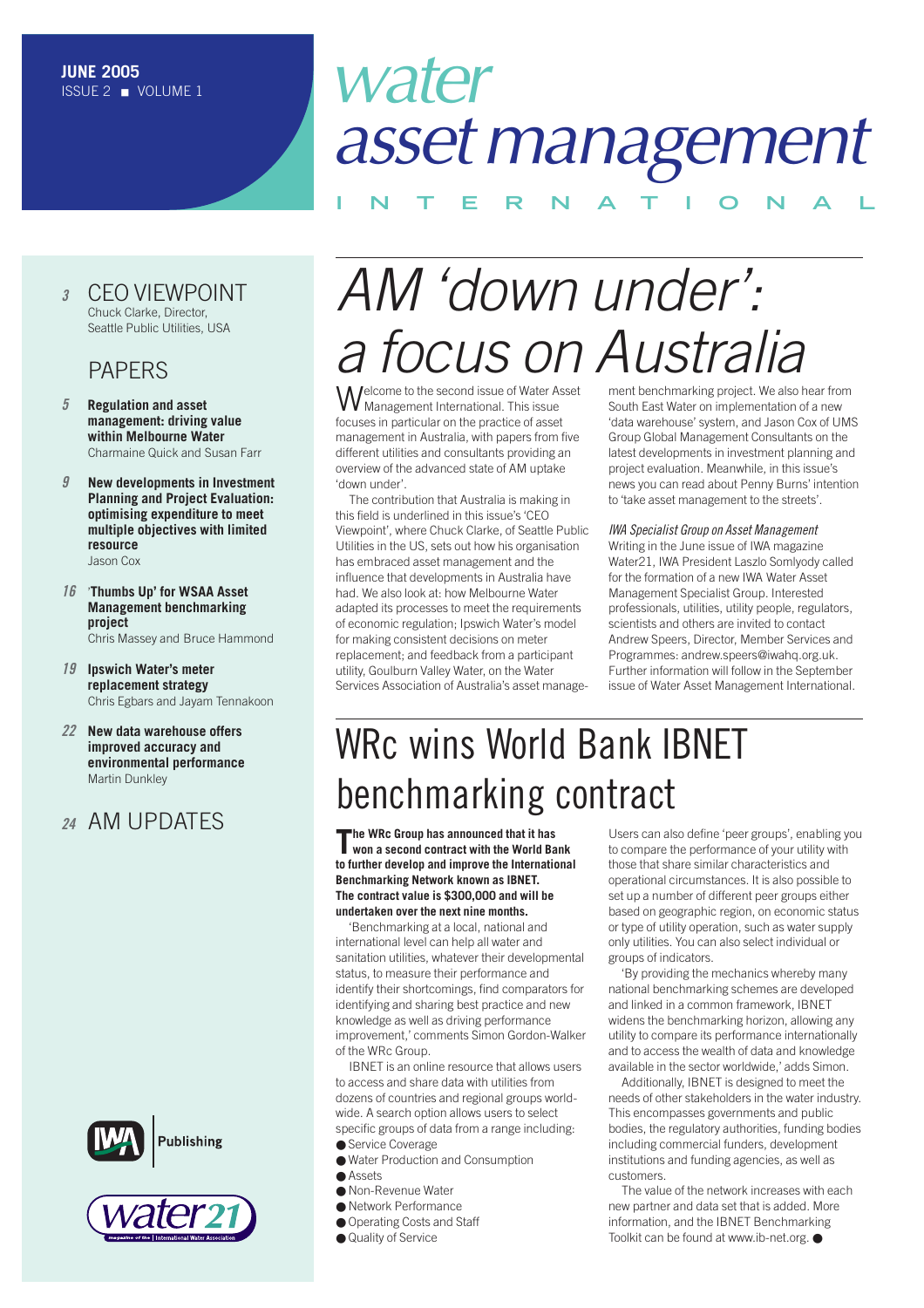# water *assetmanagement*

### **INTERNAT IONAL**

#### *<sup>3</sup>* [CEO VIEWPOINT](#page-2-0) Chuck Clarke, Director, Seattle Public Utilities, USA

#### PAPERS

- *5* **Regulation and asset [management: driving value](#page-4-0) within Melbourne Water** Charmaine Quick and Susan Farr
- *9* **[New developments in Investment](#page-8-0)  Planning and Project Evaluation: optimising expenditure to meet multiple objectives with limited resource** Jason Cox
- *16* '**Thumbs Up' for WSAA Asset [Management benchmarking](#page-15-0) project** Chris Massey and Bruce Hammond
- *19* **[Ipswich Water's meter](#page-18-0) replacement strategy** Chris Egbars and Jayam Tennakoon
- *22* **New data warehouse offers improved accuracy and [environmental performance](#page-21-0)** Martin Dunkley

### *<sup>24</sup>* [AM UPDATES](#page-23-0)





## *AM 'down under': a focus on Australia*

Welcome to the second issue of Water Asset Management International. This issue focuses in particular on the practice of asset management in Australia, with papers from five different utilities and consultants providing an overview of the advanced state of AM uptake 'down under'.

The contribution that Australia is making in this field is underlined in this issue's 'CEO Viewpoint', where Chuck Clarke, of Seattle Public Utilities in the US, sets out how his organisation has embraced asset management and the influence that developments in Australia have had. We also look at: how Melbourne Water adapted its processes to meet the requirements of economic regulation; Ipswich Water's model for making consistent decisions on meter replacement; and feedback from a participant utility, Goulburn Valley Water, on the Water Services Association of Australia's asset manage-

ment benchmarking project. We also hear from South East Water on implementation of a new 'data warehouse' system, and Jason Cox of UMS Group Global Management Consultants on the latest developments in investment planning and project evaluation. Meanwhile, in this issue's news you can read about Penny Burns' intention to 'take asset management to the streets'.

*IWA Specialist Group on Asset Management* Writing in the June issue of IWA magazine Water21, IWA President Laszlo Somlyody called for the formation of a new IWA Water Asset Management Specialist Group. Interested professionals, utilities, utility people, regulators, scientists and others are invited to contact Andrew Speers, Director, Member Services and Programmes: andrew.speers@iwahq.org.uk. Further information will follow in the September issue of Water Asset Management International.

### WRc wins World Bank IBNET benchmarking contract

**The WRc Group has announced that it has won a second contract with the World Bank to further develop and improve the International Benchmarking Network known as IBNET. The contract value is \$300,000 and will be undertaken over the next nine months.**

'Benchmarking at a local, national and international level can help all water and sanitation utilities, whatever their developmental status, to measure their performance and identify their shortcomings, find comparators for identifying and sharing best practice and new knowledge as well as driving performance improvement,' comments Simon Gordon-Walker of the WRc Group.

IBNET is an online resource that allows users to access and share data with utilities from dozens of countries and regional groups worldwide. A search option allows users to select specific groups of data from a range including: ● Service Coverage

- Water Production and Consumption
- Accote
- Non-Revenue Water
- Network Performance
- Operating Costs and Staff
- Quality of Service

Users can also define 'peer groups', enabling you to compare the performance of your utility with those that share similar characteristics and operational circumstances. It is also possible to set up a number of different peer groups either based on geographic region, on economic status or type of utility operation, such as water supply only utilities. You can also select individual or groups of indicators.

'By providing the mechanics whereby many national benchmarking schemes are developed and linked in a common framework, IBNET widens the benchmarking horizon, allowing any utility to compare its performance internationally and to access the wealth of data and knowledge available in the sector worldwide,' adds Simon.

Additionally, IBNET is designed to meet the needs of other stakeholders in the water industry. This encompasses governments and public bodies, the regulatory authorities, funding bodies including commercial funders, development institutions and funding agencies, as well as customers.

The value of the network increases with each new partner and data set that is added. More information, and the IBNET Benchmarking Toolkit can be found at www.ib-net.org. ●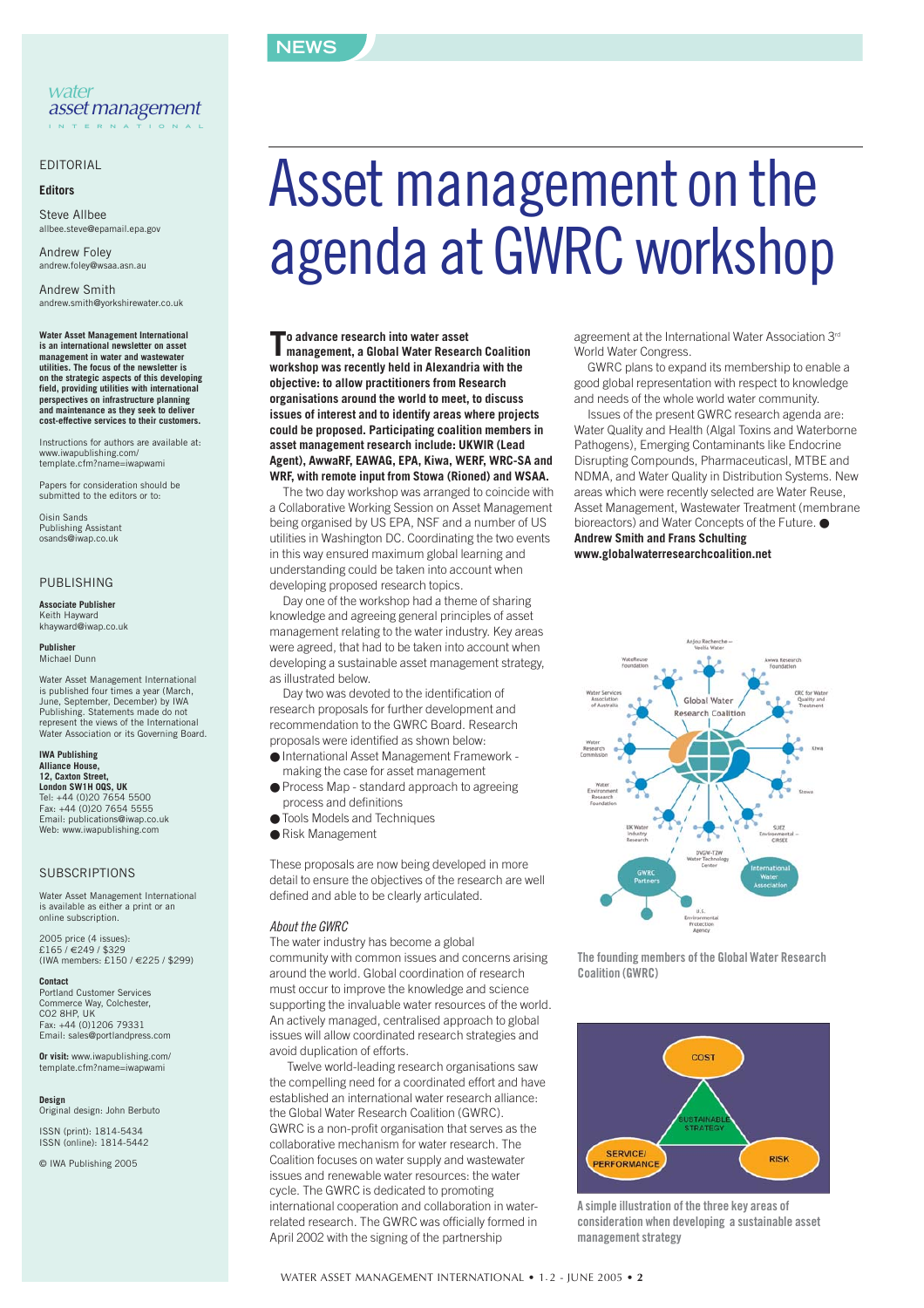#### **NEWS**

#### EDITORIAL

#### **Editors**

Steve Allbee allbee.steve@epamail.epa.gov

Andrew Foley andrew.foley@wsaa.asn.au

Andrew Smith andrew.smith@yorkshirewater.co.uk

**Water Asset Management International is an international newsletter on asset management in water and wastewater utilities. The focus of the newsletter is on the strategic aspects of this developing field, providing utilities with international perspectives on infrastructure planning and maintenance as they seek to deliver cost-effective services to their customers.**

Instructions for authors are available at: www.iwapublishing.com/ template.cfm?name=iwapwami

Papers for consideration should be submitted to the editors or to:

Oisin Sands Publishing Assistant osands@iwap.co.uk

#### PUBLISHING

**Associate Publisher** Keith Hayward khayward@iwap.co.uk

**Publisher** Michael Dunn

Water Asset Management International is published four times a year (March, June, September, December) by IWA Publishing. Statements made do not represent the views of the International Water Association or its Governing Board.

**IWA Publishing Alliance House, 12, Caxton Street, London SW1H 0QS, UK** Tel: +44 (0)20 7654 5500 Fax: +44 (0)20 7654 5555 Email: publications@iwap.co.uk Web: www.iwapublishing.com

#### **SUBSCRIPTIONS**

Water Asset Management International is available as either a print or an online subscription.

2005 price (4 issues): £165 / €249 / \$329 (IWA members: £150 / €225 / \$299)

**Contact** Portland Customer Services Commerce Way, Colchester, CO2 8HP, UK Fax: +44 (0)1206 79331 Email: sales@portlandpress.com

**Or visit:** www.iwapublishing.com/ template.cfm?name=iwapwami

**Design** Original design: John Berbuto

ISSN (print): 1814-5434 ISSN (online): 1814-5442

© IWA Publishing 2005

# Asset management on the agenda at GWRC workshop

**To advance research into water asset management, a Global Water Research Coalition workshop was recently held in Alexandria with the objective: to allow practitioners from Research organisations around the world to meet, to discuss issues of interest and to identify areas where projects could be proposed. Participating coalition members in asset management research include: UKWIR (Lead Agent), AwwaRF, EAWAG, EPA, Kiwa, WERF, WRC-SA and WRF, with remote input from Stowa (Rioned) and WSAA.**

The two day workshop was arranged to coincide with a Collaborative Working Session on Asset Management being organised by US EPA, NSF and a number of US utilities in Washington DC. Coordinating the two events in this way ensured maximum global learning and understanding could be taken into account when developing proposed research topics.

Day one of the workshop had a theme of sharing knowledge and agreeing general principles of asset management relating to the water industry. Key areas were agreed, that had to be taken into account when developing a sustainable asset management strategy, as illustrated below.

Day two was devoted to the identification of research proposals for further development and recommendation to the GWRC Board. Research proposals were identified as shown below:

- International Asset Management Framework making the case for asset management
- Process Map standard approach to agreeing process and definitions
- Tools Models and Techniques
- Risk Management

These proposals are now being developed in more detail to ensure the objectives of the research are well defined and able to be clearly articulated.

#### *About the GWRC*

The water industry has become a global community with common issues and concerns arising around the world. Global coordination of research must occur to improve the knowledge and science supporting the invaluable water resources of the world. An actively managed, centralised approach to global issues will allow coordinated research strategies and avoid duplication of efforts.

Twelve world-leading research organisations saw the compelling need for a coordinated effort and have established an international water research alliance: the Global Water Research Coalition (GWRC). GWRC is a non-profit organisation that serves as the collaborative mechanism for water research. The Coalition focuses on water supply and wastewater issues and renewable water resources: the water cycle. The GWRC is dedicated to promoting international cooperation and collaboration in waterrelated research. The GWRC was officially formed in April 2002 with the signing of the partnership

agreement at the International Water Association 3<sup>rd</sup> World Water Congress.

GWRC plans to expand its membership to enable a good global representation with respect to knowledge and needs of the whole world water community.

Issues of the present GWRC research agenda are: Water Quality and Health (Algal Toxins and Waterborne Pathogens), Emerging Contaminants like Endocrine Disrupting Compounds, Pharmaceuticasl, MTBE and NDMA, and Water Quality in Distribution Systems. New areas which were recently selected are Water Reuse, Asset Management, Wastewater Treatment (membrane bioreactors) and Water Concepts of the Future. ● **Andrew Smith and Frans Schulting**

**<www.globalwaterresearchcoalition.net>**



**The founding members of the Global Water Research Coalition (GWRC)**



**A simple illustration of the three key areas of consideration when developing a sustainable asset management strategy**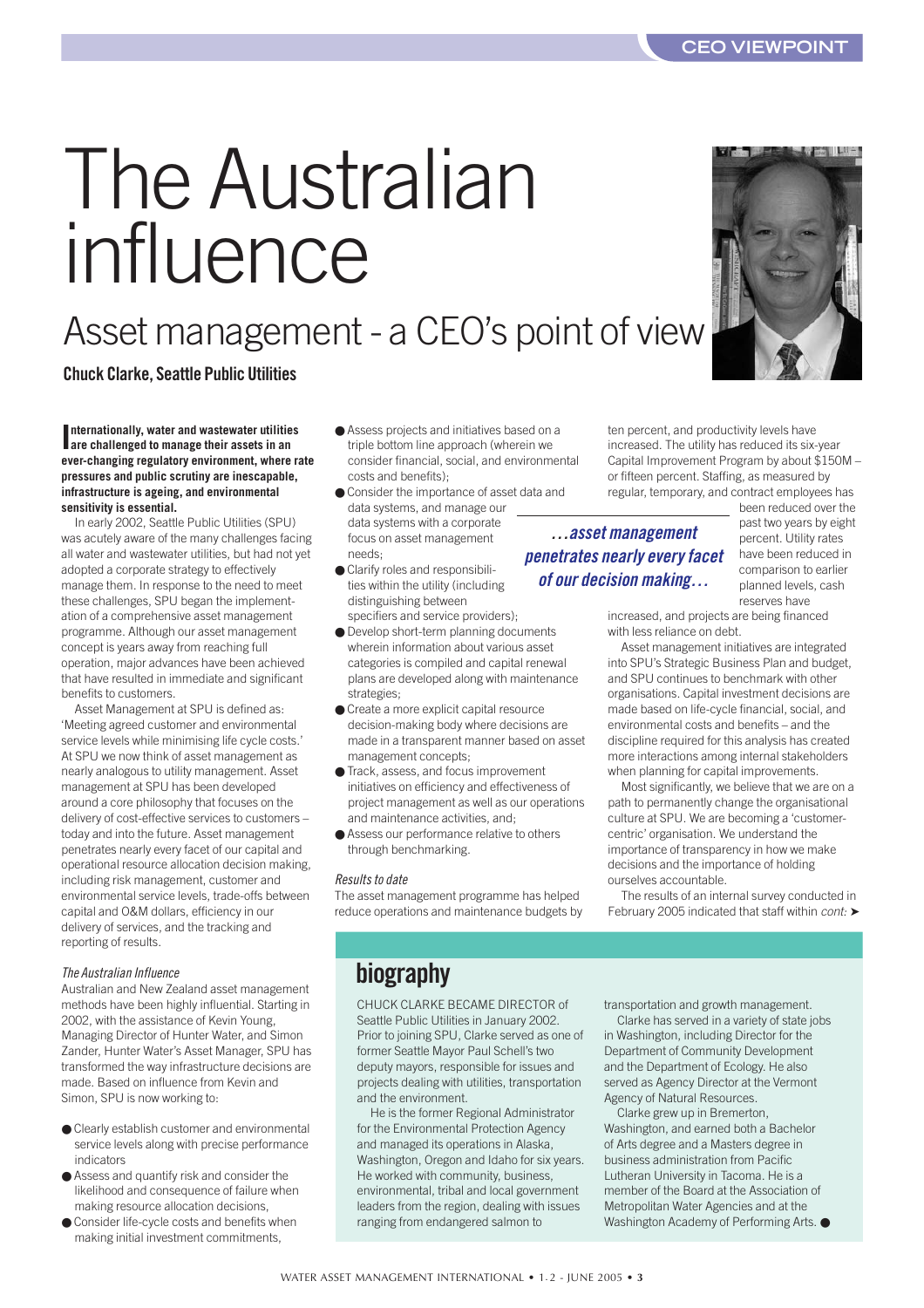#### **CEO VIEWPOINT**

# <span id="page-2-0"></span>The Australian influence

### Asset management - a CEO's point of view

**Chuck Clarke, Seattle Public Utilities**

**I are challenged to manage their assets in an nternationally, water and wastewater utilities ever-changing regulatory environment, where rate pressures and public scrutiny are inescapable, infrastructure is ageing, and environmental sensitivity is essential.**

In early 2002, Seattle Public Utilities (SPU) was acutely aware of the many challenges facing all water and wastewater utilities, but had not yet adopted a corporate strategy to effectively manage them. In response to the need to meet these challenges, SPU began the implementation of a comprehensive asset management programme. Although our asset management concept is years away from reaching full operation, major advances have been achieved that have resulted in immediate and significant benefits to customers.

Asset Management at SPU is defined as: 'Meeting agreed customer and environmental service levels while minimising life cycle costs.' At SPU we now think of asset management as nearly analogous to utility management. Asset management at SPU has been developed around a core philosophy that focuses on the delivery of cost-effective services to customers – today and into the future. Asset management penetrates nearly every facet of our capital and operational resource allocation decision making, including risk management, customer and environmental service levels, trade-offs between capital and O&M dollars, efficiency in our delivery of services, and the tracking and reporting of results.

#### *The Australian Influence*

Australian and New Zealand asset management methods have been highly influential. Starting in 2002, with the assistance of Kevin Young, Managing Director of Hunter Water, and Simon Zander, Hunter Water's Asset Manager, SPU has transformed the way infrastructure decisions are made. Based on influence from Kevin and Simon, SPU is now working to:

- Clearly establish customer and environmental service levels along with precise performance indicators
- Assess and quantify risk and consider the likelihood and consequence of failure when making resource allocation decisions,
- Consider life-cycle costs and benefits when making initial investment commitments,
- Assess projects and initiatives based on a triple bottom line approach (wherein we consider financial, social, and environmental costs and benefits);
- Consider the importance of asset data and data systems, and manage our data systems with a corporate focus on asset management needs;
- Clarify roles and responsibilities within the utility (including distinguishing between
- specifiers and service providers); ● Develop short-term planning documents wherein information about various asset categories is compiled and capital renewal plans are developed along with maintenance strategies;
- Create a more explicit capital resource decision-making body where decisions are made in a transparent manner based on asset management concepts;
- Track, assess, and focus improvement initiatives on efficiency and effectiveness of project management as well as our operations and maintenance activities, and;
- Assess our performance relative to others through benchmarking.

#### *Results to date*

The asset management programme has helped reduce operations and maintenance budgets by ten percent, and productivity levels have increased. The utility has reduced its six-year Capital Improvement Program by about \$150M – or fifteen percent. Staffing, as measured by regular, temporary, and contract employees has

*…asset management penetrates nearly every facet of our decision making…*

been reduced over the past two years by eight percent. Utility rates have been reduced in comparison to earlier planned levels, cash reserves have

increased, and projects are being financed with less reliance on debt.

Asset management initiatives are integrated into SPU's Strategic Business Plan and budget, and SPU continues to benchmark with other organisations. Capital investment decisions are made based on life-cycle financial, social, and environmental costs and benefits – and the discipline required for this analysis has created more interactions among internal stakeholders when planning for capital improvements.

Most significantly, we believe that we are on a path to permanently change the organisational culture at SPU. We are becoming a 'customercentric' organisation. We understand the importance of transparency in how we make decisions and the importance of holding ourselves accountable.

The results of an internal survey conducted in February 2005 indicated that staff within *cont:* ➤

**biography**

CHUCK CLARKE BECAME DIRECTOR of Seattle Public Utilities in January 2002. Prior to joining SPU, Clarke served as one of former Seattle Mayor Paul Schell's two deputy mayors, responsible for issues and projects dealing with utilities, transportation and the environment.

He is the former Regional Administrator for the Environmental Protection Agency and managed its operations in Alaska, Washington, Oregon and Idaho for six years. He worked with community, business, environmental, tribal and local government leaders from the region, dealing with issues ranging from endangered salmon to

transportation and growth management.

Clarke has served in a variety of state jobs in Washington, including Director for the Department of Community Development and the Department of Ecology. He also served as Agency Director at the Vermont Agency of Natural Resources.

Clarke grew up in Bremerton, Washington, and earned both a Bachelor of Arts degree and a Masters degree in business administration from Pacific Lutheran University in Tacoma. He is a member of the Board at the Association of Metropolitan Water Agencies and at the Washington Academy of Performing Arts. ●

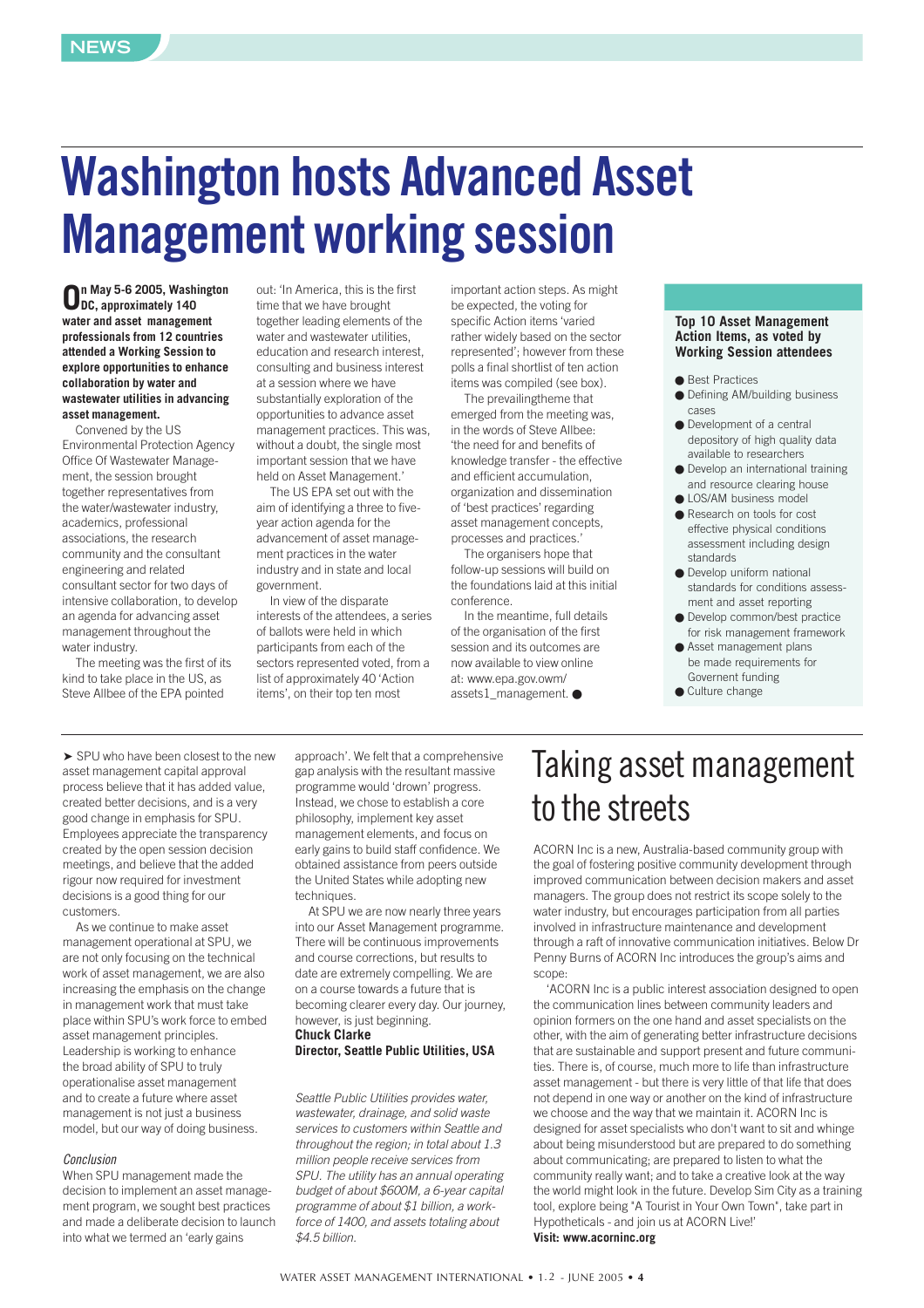## **Washington hosts Advanced Asset Management working session**

**On May 5-6 2005, Washington DC, approximately 140 water and asset management professionals from 12 countries attended a Working Session to explore opportunities to enhance collaboration by water and wastewater utilities in advancing asset management.** 

Convened by the US Environmental Protection Agency Office Of Wastewater Management, the session brought together representatives from the water/wastewater industry, academics, professional associations, the research community and the consultant engineering and related consultant sector for two days of intensive collaboration, to develop an agenda for advancing asset management throughout the water industry.

The meeting was the first of its kind to take place in the US, as Steve Allbee of the EPA pointed

out: 'In America, this is the first time that we have brought together leading elements of the water and wastewater utilities education and research interest, consulting and business interest at a session where we have substantially exploration of the opportunities to advance asset management practices. This was, without a doubt, the single most important session that we have held on Asset Management.'

The US EPA set out with the aim of identifying a three to fiveyear action agenda for the advancement of asset management practices in the water industry and in state and local government.

In view of the disparate interests of the attendees, a series of ballots were held in which participants from each of the sectors represented voted, from a list of approximately 40 'Action items', on their top ten most

important action steps. As might be expected, the voting for specific Action items 'varied rather widely based on the sector represented'; however from these polls a final shortlist of ten action items was compiled (see box).

The prevailingtheme that emerged from the meeting was, in the words of Steve Allbee: 'the need for and benefits of knowledge transfer - the effective and efficient accumulation, organization and dissemination of 'best practices' regarding asset management concepts, processes and practices.'

The organisers hope that follow-up sessions will build on the foundations laid at this initial conference.

In the meantime, full details of the organisation of the first session and its outcomes are now available to view online at: www.epa.gov.owm/ assets1\_management. ●

#### **Top 10 Asset Management Action Items, as voted by Working Session attendees**

- Best Practices
- Defining AM/building business cases
- Development of a central depository of high quality data available to researchers
- Develop an international training and resource clearing house
- LOS/AM business model
- Research on tools for cost effective physical conditions assessment including design standards
- Develop uniform national standards for conditions assessment and asset reporting
- Develop common/best practice for risk management framework
- Asset management plans be made requirements for Governent funding
- Culture change

➤ SPU who have been closest to the new asset management capital approval process believe that it has added value, created better decisions, and is a very good change in emphasis for SPU. Employees appreciate the transparency created by the open session decision meetings, and believe that the added rigour now required for investment decisions is a good thing for our customers.

As we continue to make asset management operational at SPU, we are not only focusing on the technical work of asset management, we are also increasing the emphasis on the change in management work that must take place within SPU's work force to embed asset management principles. Leadership is working to enhance the broad ability of SPU to truly operationalise asset management and to create a future where asset management is not just a business model, but our way of doing business.

#### *Conclusion*

When SPU management made the decision to implement an asset management program, we sought best practices and made a deliberate decision to launch into what we termed an 'early gains

approach'. We felt that a comprehensive gap analysis with the resultant massive programme would 'drown' progress. Instead, we chose to establish a core philosophy, implement key asset management elements, and focus on early gains to build staff confidence. We obtained assistance from peers outside the United States while adopting new techniques

At SPU we are now nearly three years into our Asset Management programme. There will be continuous improvements and course corrections, but results to date are extremely compelling. We are on a course towards a future that is becoming clearer every day. Our journey, however, is just beginning. **Chuck Clarke**

#### **Director, Seattle Public Utilities, USA**

*Seattle Public Utilities provides water, wastewater, drainage, and solid waste services to customers within Seattle and throughout the region; in total about 1.3 million people receive services from SPU. The utility has an annual operating budget of about \$600M, a 6-year capital programme of about \$1 billion, a workforce of 1400, and assets totaling about \$4.5 billion.*

### Taking asset management to the streets

ACORN Inc is a new, Australia-based community group with the goal of fostering positive community development through improved communication between decision makers and asset managers. The group does not restrict its scope solely to the water industry, but encourages participation from all parties involved in infrastructure maintenance and development through a raft of innovative communication initiatives. Below Dr Penny Burns of ACORN Inc introduces the group's aims and scope:

'ACORN Inc is a public interest association designed to open the communication lines between community leaders and opinion formers on the one hand and asset specialists on the other, with the aim of generating better infrastructure decisions that are sustainable and support present and future communities. There is, of course, much more to life than infrastructure asset management - but there is very little of that life that does not depend in one way or another on the kind of infrastructure we choose and the way that we maintain it. ACORN Inc is designed for asset specialists who don't want to sit and whinge about being misunderstood but are prepared to do something about communicating; are prepared to listen to what the community really want; and to take a creative look at the way the world might look in the future. Develop Sim City as a training tool, explore being "A Tourist in Your Own Town", take part in Hypotheticals - and join us at ACORN Live!' **[Visit: www.acorninc.org](www.acorninc.org)**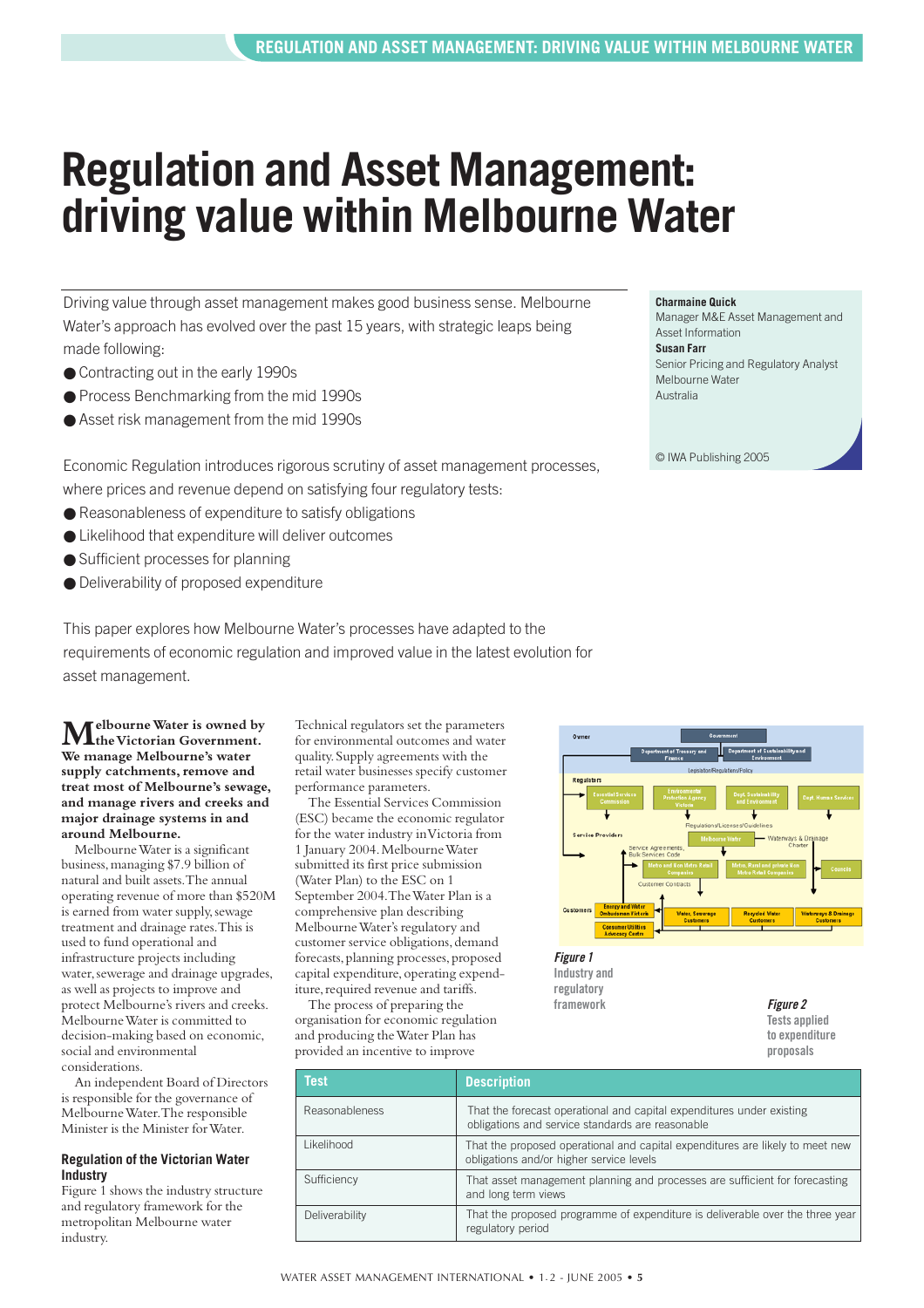## <span id="page-4-0"></span>**Regulation and Asset Management: driving value within Melbourne Water**

Driving value through asset management makes good business sense. Melbourne Water's approach has evolved over the past 15 years, with strategic leaps being made following:

- Contracting out in the early 1990s
- Process Benchmarking from the mid 1990s
- Asset risk management from the mid 1990s

Economic Regulation introduces rigorous scrutiny of asset management processes, where prices and revenue depend on satisfying four regulatory tests:

- $\bullet$  Reasonableness of expenditure to satisfy obligations
- Likelihood that expenditure will deliver outcomes
- Sufficient processes for planning
- Deliverability of proposed expenditure

This paper explores how Melbourne Water's processes have adapted to the requirements of economic regulation and improved value in the latest evolution for asset management.

**Melbourne Water is owned by the Victorian Government. We manage Melbourne's water supply catchments, remove and treat most of Melbourne's sewage, and manage rivers and creeks and major drainage systems in and around Melbourne.**

Melbourne Water is a significant business,managing \$7.9 billion of natural and built assets.The annual operating revenue of more than \$520M is earned from water supply, sewage treatment and drainage rates.This is used to fund operational and infrastructure projects including water, sewerage and drainage upgrades, as well as projects to improve and protect Melbourne's rivers and creeks. Melbourne Water is committed to decision-making based on economic, social and environmental considerations.

An independent Board of Directors is responsible for the governance of Melbourne Water.The responsible Minister is the Minister for Water.

#### **Regulation of the Victorian Water Industry**

Figure 1 shows the industry structure and regulatory framework for the metropolitan Melbourne water industry.

Technical regulators set the parameters for environmental outcomes and water quality.Supply agreements with the retail water businesses specify customer performance parameters.

The Essential Services Commission (ESC) became the economic regulator for the water industry in Victoria from 1 January 2004.Melbourne Water submitted its first price submission (Water Plan) to the ESC on 1 September 2004.The Water Plan is a comprehensive plan describing Melbourne Water's regulatory and customer service obligations, demand forecasts, planning processes, proposed capital expenditure, operating expenditure, required revenue and tariffs.

The process of preparing the organisation for economic regulation and producing the Water Plan has provided an incentive to improve



*Figure 1* **Industry and regulatory framework** *Figure 2*

**Tests applied to expenditure proposals**

| <b>Test</b>           | <b>Description</b>                                                                                                        |
|-----------------------|---------------------------------------------------------------------------------------------------------------------------|
| <b>Reasonableness</b> | That the forecast operational and capital expenditures under existing<br>obligations and service standards are reasonable |
| Likelihood            | That the proposed operational and capital expenditures are likely to meet new<br>obligations and/or higher service levels |
| Sufficiency           | That asset management planning and processes are sufficient for forecasting<br>and long term views                        |
| Deliverability        | That the proposed programme of expenditure is deliverable over the three year<br>regulatory period                        |

#### **Charmaine Quick**

Manager M&E Asset Management and Asset Information **Susan Farr** Senior Pricing and Regulatory Analyst Melbourne Water Australia

© IWA Publishing 2005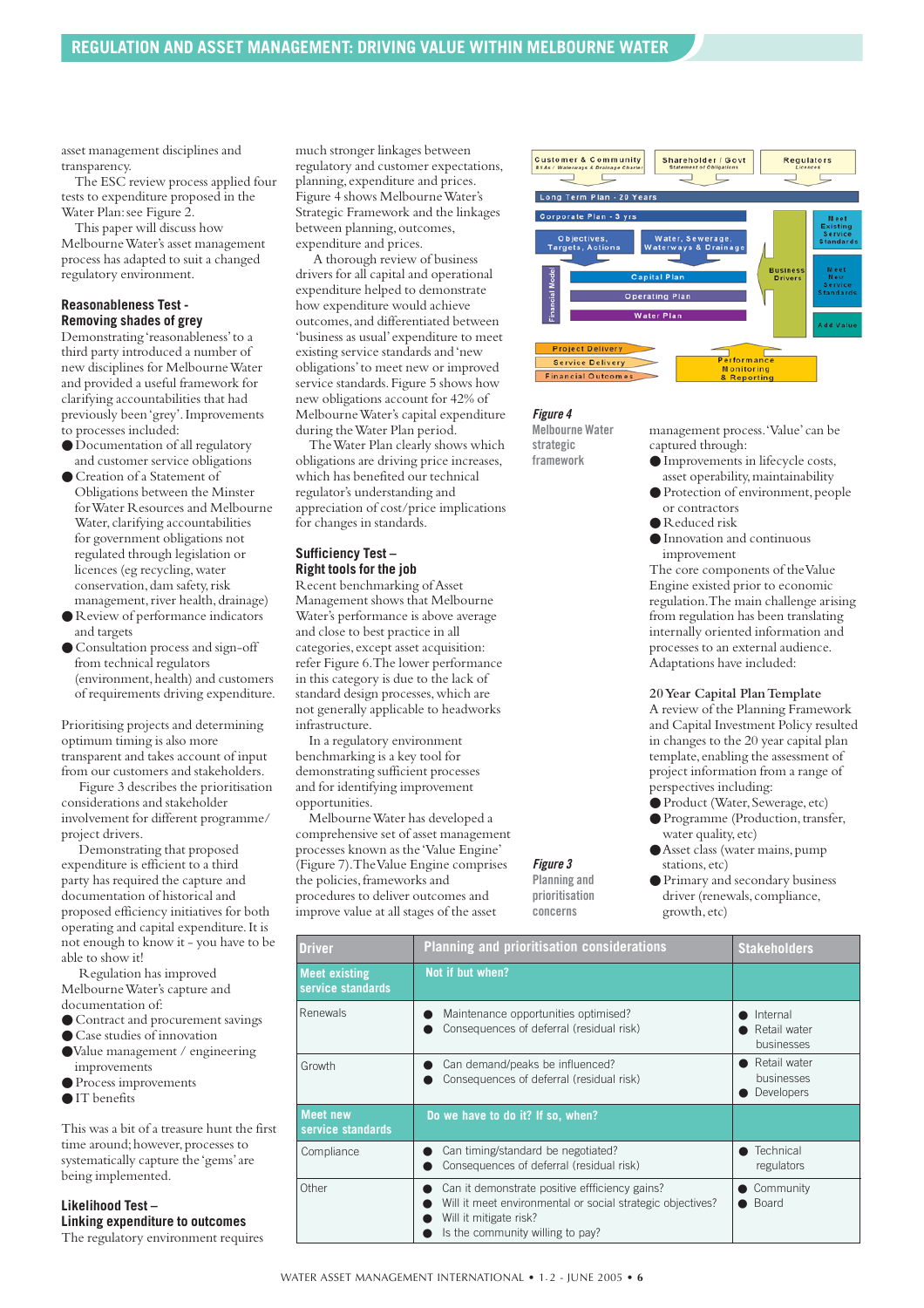asset management disciplines and transparency.

The ESC review process applied four tests to expenditure proposed in the Water Plan: see Figure 2.

This paper will discuss how Melbourne Water's asset management process has adapted to suit a changed regulatory environment.

#### **Reasonableness Test - Removing shades of grey**

Demonstrating 'reasonableness'to a third party introduced a number of new disciplines for Melbourne Water and provided a useful framework for clarifying accountabilities that had previously been 'grey'.Improvements to processes included:

- Documentation of all regulatory and customer service obligations
- Creation of a Statement of Obligations between the Minster for Water Resources and Melbourne Water, clarifying accountabilities for government obligations not regulated through legislation or licences (eg recycling,water conservation, dam safety, risk
- management, river health, drainage) ● Review of performance indicators and targets
- Consultation process and sign-off from technical regulators (environment, health) and customers of requirements driving expenditure.

Prioritising projects and determining optimum timing is also more transparent and takes account of input from our customers and stakeholders.

Figure 3 describes the prioritisation considerations and stakeholder involvement for different programme/ project drivers.

Demonstrating that proposed expenditure is efficient to a third party has required the capture and documentation of historical and proposed efficiency initiatives for both operating and capital expenditure.It is not enough to know it - you have to be able to show it!

Regulation has improved Melbourne Water's capture and documentation of:

- Contract and procurement savings
- Case studies of innovation
- ●Value management / engineering improvements
- Process improvements
- IT benefits

This was a bit of a treasure hunt the first time around; however, processes to systematically capture the 'gems'are being implemented.

**Likelihood Test – Linking expenditure to outcomes** The regulatory environment requires

much stronger linkages between regulatory and customer expectations, planning,expenditure and prices. Figure 4 shows Melbourne Water's Strategic Framework and the linkages between planning, outcomes, expenditure and prices.

A thorough review of business drivers for all capital and operational expenditure helped to demonstrate how expenditure would achieve outcomes,and differentiated between 'business as usual'expenditure to meet existing service standards and 'new obligations'to meet new or improved service standards. Figure 5 shows how new obligations account for 42% of Melbourne Water's capital expenditure during the Water Plan period.

The Water Plan clearly shows which obligations are driving price increases, which has benefited our technical regulator's understanding and appreciation of cost/price implications for changes in standards.

#### **Sufficiency Test – Right tools for the job**

Recent benchmarking of Asset Management shows that Melbourne Water's performance is above average and close to best practice in all categories, except asset acquisition: refer Figure 6.The lower performance in this category is due to the lack of standard design processes, which are not generally applicable to headworks infrastructure.

In a regulatory environment benchmarking is a key tool for demonstrating sufficient processes and for identifying improvement opportunities.

Melbourne Water has developed a comprehensive set of asset management processes known as the 'Value Engine' (Figure 7).The Value Engine comprises the policies, frameworks and procedures to deliver outcomes and improve value at all stages of the asset

*Figure 3* **Planning and prioritisation concerns**

| <b>Customer &amp; Community</b><br>Shareholder / Govt<br><b>BSAs / Waterways &amp; Drainage Charter</b><br><b>Statement of Obligations</b> | <b>Regulators</b><br>Licences     |                                                        |
|--------------------------------------------------------------------------------------------------------------------------------------------|-----------------------------------|--------------------------------------------------------|
| Long Term Plan - 20 Years                                                                                                                  |                                   |                                                        |
| Corporate Plan - 3 yrs<br>Objectives,<br>Water, Sewerage,<br><b>Targets, Actions</b><br><b>Waterways &amp; Drainage</b>                    |                                   | Meet<br>Existing<br><b>Service</b><br><b>Standards</b> |
| Financial Model<br><b>Capital Plan</b><br><b>Operating Plan</b>                                                                            | <b>Business</b><br><b>Drivers</b> | Meet<br>New<br><b>Service</b><br><b>Standards</b>      |
| <b>Water Plan</b>                                                                                                                          |                                   | <b>Add Value</b>                                       |
| <b>Project Delivery</b><br>Performance<br>Association of Association of the Association                                                    |                                   |                                                        |

*Figure 4*

**Melbourne Water strategic framework**

Financial Outcomes

management process.'Value'can be captured through:

- Improvements in lifecycle costs, asset operability,maintainability
- Protection of environment,people or contractors
- Reduced risk
- Innovation and continuous improvement

The core components of the Value Engine existed prior to economic regulation.The main challenge arising from regulation has been translating internally oriented information and processes to an external audience. Adaptations have included:

**20 Year Capital Plan Template** A review of the Planning Framework and Capital Investment Policy resulted in changes to the 20 year capital plan template, enabling the assessment of project information from a range of

- perspectives including:
- Product (Water, Sewerage, etc)
- Programme (Production,transfer, water quality,etc)
- ●Asset class (water mains,pump stations, etc)
- Primary and secondary business driver (renewals, compliance, growth,etc)

| <b>Driver</b>                             | <b>Planning and prioritisation considerations</b>                                                                                                                          | <b>Stakeholders</b>                      |
|-------------------------------------------|----------------------------------------------------------------------------------------------------------------------------------------------------------------------------|------------------------------------------|
| <b>Meet existing</b><br>service standards | Not if but when?                                                                                                                                                           |                                          |
| <b>Renewals</b>                           | Maintenance opportunities optimised?<br>Consequences of deferral (residual risk)                                                                                           | Internal<br>Retail water<br>businesses   |
| Growth                                    | Can demand/peaks be influenced?<br>Consequences of deferral (residual risk)                                                                                                | Retail water<br>businesses<br>Developers |
| <b>Meet new</b><br>service standards      | Do we have to do it? If so, when?                                                                                                                                          |                                          |
| Compliance                                | Can timing/standard be negotiated?<br>Consequences of deferral (residual risk)                                                                                             | Technical<br>regulators                  |
| Other                                     | Can it demonstrate positive effficiency gains?<br>Will it meet environmental or social strategic objectives?<br>Will it mitigate risk?<br>Is the community willing to pay? | Community<br><b>Board</b>                |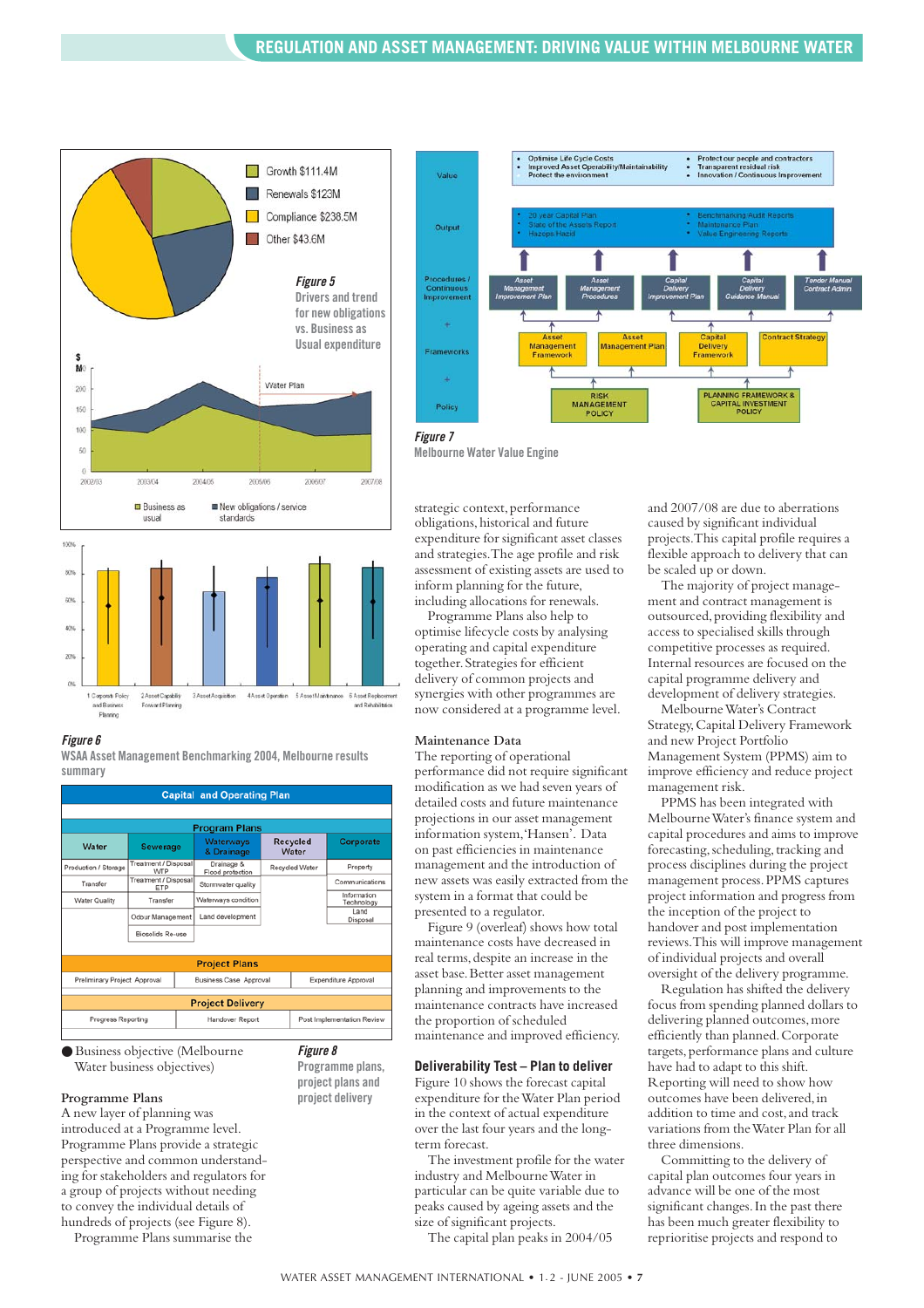



#### *Figure 6*

**WSAA Asset Management Benchmarking 2004, Melbourne results summary**



**Programme plans, project plans and project delivery**

● Business objective (Melbourne Water business objectives)

#### **Programme Plans**

A new layer of planning was introduced at a Programme level. Programme Plans provide a strategic perspective and common understanding for stakeholders and regulators for a group of projects without needing to convey the individual details of hundreds of projects (see Figure 8).

Programme Plans summarise the





strategic context, performance obligations,historical and future expenditure for significant asset classes and strategies.The age profile and risk assessment of existing assets are used to inform planning for the future, including allocations for renewals.

Programme Plans also help to optimise lifecycle costs by analysing operating and capital expenditure together.Strategies for efficient delivery of common projects and synergies with other programmes are now considered at a programme level.

#### **Maintenance Data**

The reporting of operational performance did not require significant modification as we had seven years of detailed costs and future maintenance projections in our asset management information system,'Hansen'. Data on past efficiencies in maintenance management and the introduction of new assets was easily extracted from the system in a format that could be presented to a regulator.

Figure 9 (overleaf) shows how total maintenance costs have decreased in real terms, despite an increase in the asset base.Better asset management planning and improvements to the maintenance contracts have increased the proportion of scheduled maintenance and improved efficiency.

#### **Deliverability Test – Plan to deliver**

Figure 10 shows the forecast capital expenditure for the Water Plan period in the context of actual expenditure over the last four years and the longterm forecast.

The investment profile for the water industry and Melbourne Water in particular can be quite variable due to peaks caused by ageing assets and the size of significant projects.

The capital plan peaks in 2004/05

and 2007/08 are due to aberrations caused by significant individual projects.This capital profile requires a flexible approach to delivery that can be scaled up or down.

The majority of project management and contract management is outsourced, providing flexibility and access to specialised skills through competitive processes as required. Internal resources are focused on the capital programme delivery and development of delivery strategies.

Melbourne Water's Contract Strategy,Capital Delivery Framework and new Project Portfolio Management System (PPMS) aim to improve efficiency and reduce project management risk.

PPMS has been integrated with Melbourne Water's finance system and capital procedures and aims to improve forecasting, scheduling, tracking and process disciplines during the project management process.PPMS captures project information and progress from the inception of the project to handover and post implementation reviews.This will improve management of individual projects and overall oversight of the delivery programme.

Regulation has shifted the delivery focus from spending planned dollars to delivering planned outcomes, more efficiently than planned.Corporate targets, performance plans and culture have had to adapt to this shift. Reporting will need to show how outcomes have been delivered,in addition to time and cost,and track variations from the Water Plan for all three dimensions.

Committing to the delivery of capital plan outcomes four years in advance will be one of the most significant changes.In the past there has been much greater flexibility to reprioritise projects and respond to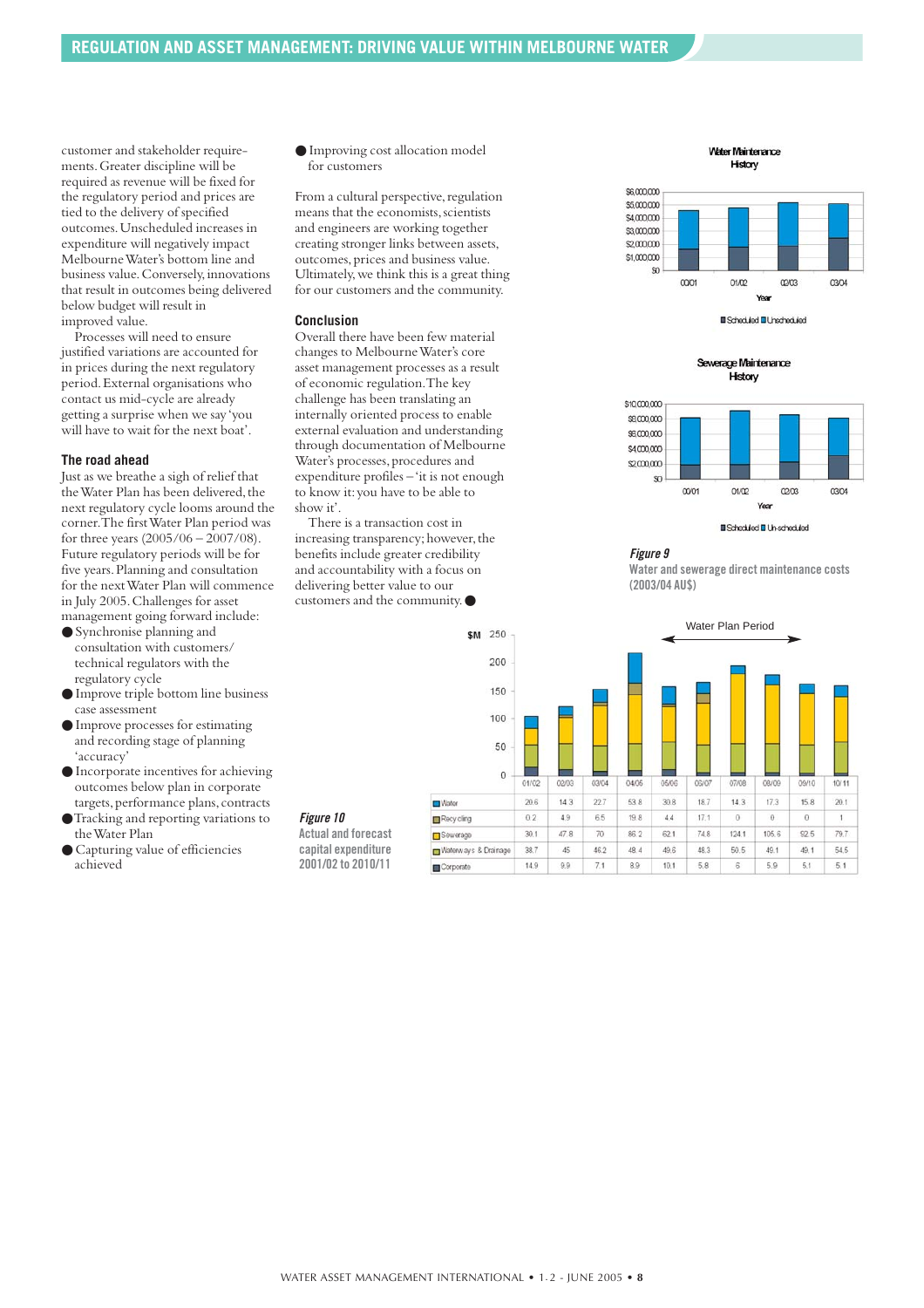customer and stakeholder requirements.Greater discipline will be required as revenue will be fixed for the regulatory period and prices are tied to the delivery of specified outcomes.Unscheduled increases in expenditure will negatively impact Melbourne Water's bottom line and business value.Conversely,innovations that result in outcomes being delivered below budget will result in improved value.

Processes will need to ensure justified variations are accounted for in prices during the next regulatory period.External organisations who contact us mid-cycle are already getting a surprise when we say 'you will have to wait for the next boat'.

#### **The road ahead**

Just as we breathe a sigh of relief that the Water Plan has been delivered, the next regulatory cycle looms around the corner.The first Water Plan period was for three years (2005/06 – 2007/08). Future regulatory periods will be for five years.Planning and consultation for the next Water Plan will commence in July 2005.Challenges for asset management going forward include:

- Synchronise planning and consultation with customers/ technical regulators with the regulatory cycle
- Improve triple bottom line business case assessment
- Improve processes for estimating and recording stage of planning 'accuracy'
- Incorporate incentives for achieving outcomes below plan in corporate targets, performance plans, contracts
- ●Tracking and reporting variations to the Water Plan
- Capturing value of efficiencies achieved

● Improving cost allocation model for customers

From a cultural perspective, regulation means that the economists, scientists and engineers are working together creating stronger links between assets, outcomes,prices and business value. Ultimately,we think this is a great thing for our customers and the community.

#### **Conclusion**

Overall there have been few material changes to Melbourne Water's core asset management processes as a result of economic regulation.The key challenge has been translating an internally oriented process to enable external evaluation and understanding through documentation of Melbourne Water's processes, procedures and expenditure profiles – 'it is not enough to know it:you have to be able to show it'.

There is a transaction cost in increasing transparency; however, the benefits include greater credibility and accountability with a focus on delivering better value to our customers and the community.●



Water Maintenance History



Sewerage Maintenance History



**II** Scheduled **II** Unscheduled



**Water and sewerage direct maintenance costs (2003/04 AU\$)**



**capital expenditure 2001/02 to 2010/11**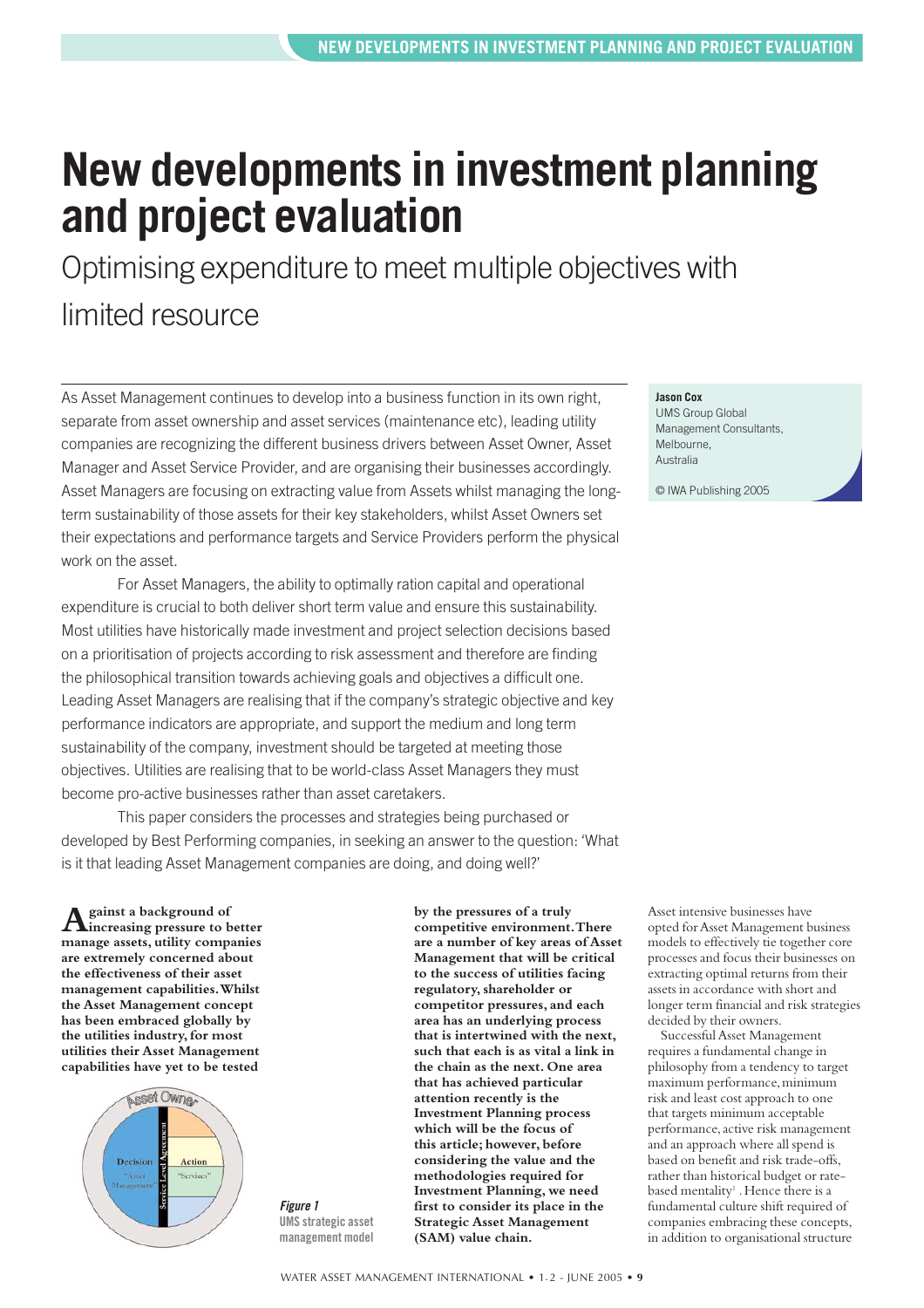## <span id="page-8-0"></span>**New developments in investment planning and project evaluation**

Optimising expenditure to meet multiple objectives with limited resource

As Asset Management continues to develop into a business function in its own right, separate from asset ownership and asset services (maintenance etc), leading utility companies are recognizing the different business drivers between Asset Owner, Asset Manager and Asset Service Provider, and are organising their businesses accordingly. Asset Managers are focusing on extracting value from Assets whilst managing the longterm sustainability of those assets for their key stakeholders, whilst Asset Owners set their expectations and performance targets and Service Providers perform the physical work on the asset.

For Asset Managers, the ability to optimally ration capital and operational expenditure is crucial to both deliver short term value and ensure this sustainability. Most utilities have historically made investment and project selection decisions based on a prioritisation of projects according to risk assessment and therefore are finding the philosophical transition towards achieving goals and objectives a difficult one. Leading Asset Managers are realising that if the company's strategic objective and key performance indicators are appropriate, and support the medium and long term sustainability of the company, investment should be targeted at meeting those objectives. Utilities are realising that to be world-class Asset Managers they must become pro-active businesses rather than asset caretakers.

This paper considers the processes and strategies being purchased or developed by Best Performing companies, in seeking an answer to the question: 'What is it that leading Asset Management companies are doing, and doing well?'

**Against a background of increasing pressure to better manage assets, utility companies are extremely concerned about the effectiveness of their asset management capabilities.Whilst the Asset Management concept has been embraced globally by the utilities industry,for most utilities their Asset Management capabilities have yet to be tested**



*Figure 1* **UMS strategic asset management model** **by the pressures of a truly competitive environment.There are a number of key areas of Asset Management that will be critical to the success of utilities facing regulatory,shareholder or competitor pressures, and each area has an underlying process that is intertwined with the next, such that each is as vital a link in the chain as the next. One area that has achieved particular attention recently is the Investment Planning process which will be the focus of this article; however,before considering the value and the methodologies required for Investment Planning, we need first to consider its place in the Strategic Asset Management (SAM) value chain.**

**Jason Cox**

UMS Group Global Management Consultants, Melbourne, Australia

© IWA Publishing 2005

Asset intensive businesses have opted for Asset Management business models to effectively tie together core processes and focus their businesses on extracting optimal returns from their assets in accordance with short and longer term financial and risk strategies decided by their owners.

Successful Asset Management requires a fundamental change in philosophy from a tendency to target maximum performance,minimum risk and least cost approach to one that targets minimum acceptable performance,active risk management and an approach where all spend is based on benefit and risk trade-offs, rather than historical budget or ratebased mentality<sup>1</sup>. Hence there is a fundamental culture shift required of companies embracing these concepts, in addition to organisational structure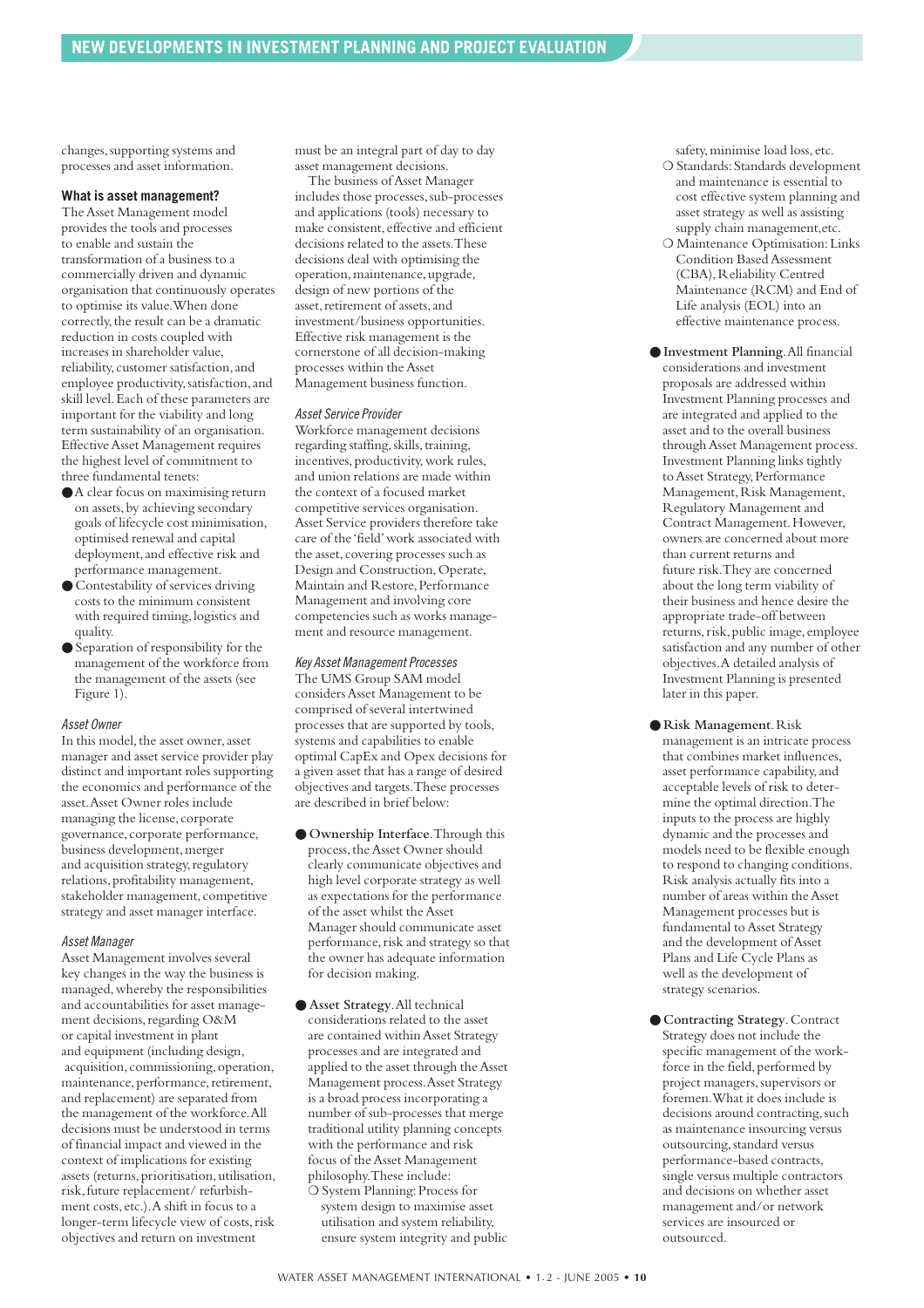changes, supporting systems and processes and asset information.

#### **What is asset management?**

The Asset Management model provides the tools and processes to enable and sustain the transformation of a business to a commercially driven and dynamic organisation that continuously operates to optimise its value.When done correctly, the result can be a dramatic reduction in costs coupled with increases in shareholder value, reliability, customer satisfaction, and employee productivity,satisfaction,and skill level.Each of these parameters are important for the viability and long term sustainability of an organisation. Effective Asset Management requires the highest level of commitment to three fundamental tenets:

- ●A clear focus on maximising return on assets,by achieving secondary goals of lifecycle cost minimisation, optimised renewal and capital deployment,and effective risk and performance management.
- Contestability of services driving costs to the minimum consistent with required timing,logistics and quality.
- Separation of responsibility for the management of the workforce from the management of the assets (see Figure 1).

#### *Asset Owner*

In this model, the asset owner, asset manager and asset service provider play distinct and important roles supporting the economics and performance of the asset.Asset Owner roles include managing the license, corporate governance, corporate performance, business development, merger and acquisition strategy, regulatory relations,profitability management, stakeholder management, competitive strategy and asset manager interface.

#### *Asset Manager*

Asset Management involves several key changes in the way the business is managed,whereby the responsibilities and accountabilities for asset management decisions, regarding O&M or capital investment in plant and equipment (including design, acquisition,commissioning,operation, maintenance, performance, retirement, and replacement) are separated from the management of the workforce.All decisions must be understood in terms of financial impact and viewed in the context of implications for existing assets (returns, prioritisation, utilisation, risk,future replacement/ refurbishment costs,etc.).A shift in focus to a longer-term lifecycle view of costs,risk objectives and return on investment

must be an integral part of day to day asset management decisions.

The business of Asset Manager includes those processes, sub-processes and applications (tools) necessary to make consistent, effective and efficient decisions related to the assets.These decisions deal with optimising the operation,maintenance,upgrade, design of new portions of the asset, retirement of assets, and investment/business opportunities. Effective risk management is the cornerstone of all decision-making processes within the Asset Management business function.

#### *Asset Service Provider*

Workforce management decisions regarding staffing, skills, training, incentives, productivity, work rules, and union relations are made within the context of a focused market competitive services organisation. Asset Service providers therefore take care of the 'field'work associated with the asset, covering processes such as Design and Construction,Operate, Maintain and Restore, Performance Management and involving core competencies such as works management and resource management.

#### *Key Asset Management Processes*

The UMS Group SAM model considers Asset Management to be comprised of several intertwined processes that are supported by tools, systems and capabilities to enable optimal CapEx and Opex decisions for a given asset that has a range of desired objectives and targets.These processes are described in brief below:

- **Ownership Interface**.Through this process, the Asset Owner should clearly communicate objectives and high level corporate strategy as well as expectations for the performance of the asset whilst the Asset Manager should communicate asset performance, risk and strategy so that the owner has adequate information for decision making.
- **Asset Strategy**.All technical considerations related to the asset are contained within Asset Strategy processes and are integrated and applied to the asset through the Asset Management process.Asset Strategy is a broad process incorporating a number of sub-processes that merge traditional utility planning concepts with the performance and risk focus of the Asset Management philosophy.These include: O System Planning: Process for system design to maximise asset utilisation and system reliability, ensure system integrity and public

safety, minimise load loss, etc.

- ❍ Standards:Standards development and maintenance is essential to cost effective system planning and asset strategy as well as assisting supply chain management,etc.
- ❍ Maintenance Optimisation:Links Condition Based Assessment (CBA), Reliability Centred Maintenance (RCM) and End of Life analysis (EOL) into an effective maintenance process.
- **Investment Planning**.All financial considerations and investment proposals are addressed within Investment Planning processes and are integrated and applied to the asset and to the overall business through Asset Management process. Investment Planning links tightly to Asset Strategy, Performance Management, Risk Management, Regulatory Management and Contract Management.However, owners are concerned about more than current returns and future risk.They are concerned about the long term viability of their business and hence desire the appropriate trade-off between returns, risk, public image, employee satisfaction and any number of other objectives.A detailed analysis of Investment Planning is presented later in this paper.
- **Risk Management**.Risk management is an intricate process that combines market influences, asset performance capability,and acceptable levels of risk to determine the optimal direction.The inputs to the process are highly dynamic and the processes and models need to be flexible enough to respond to changing conditions. Risk analysis actually fits into a number of areas within the Asset Management processes but is fundamental to Asset Strategy and the development of Asset Plans and Life Cycle Plans as well as the development of strategy scenarios.
- **Contracting Strategy**.Contract Strategy does not include the specific management of the workforce in the field, performed by project managers,supervisors or foremen.What it does include is decisions around contracting, such as maintenance insourcing versus outsourcing, standard versus performance-based contracts, single versus multiple contractors and decisions on whether asset management and/or network services are insourced or outsourced.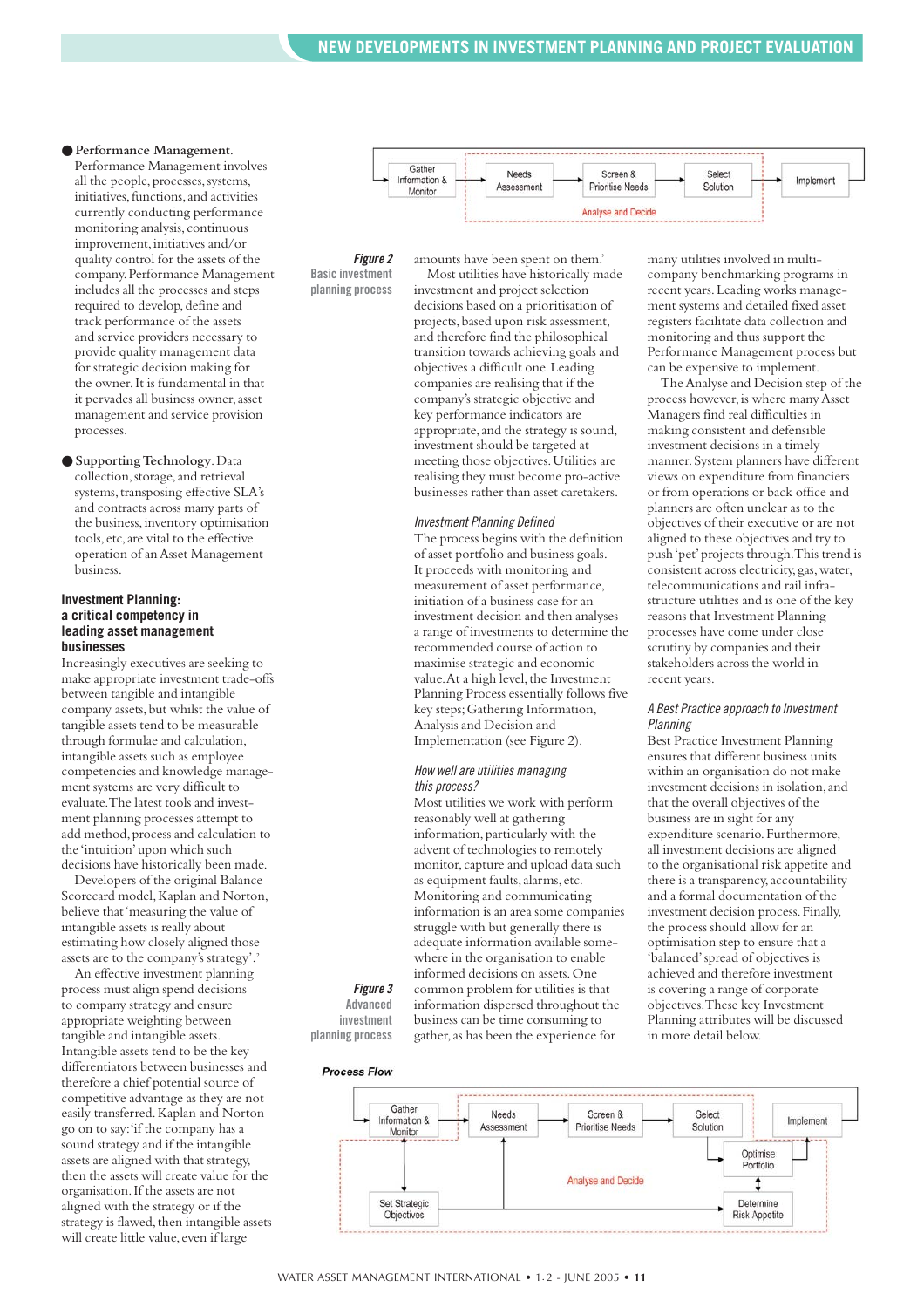#### ● **Performance Management**.

Performance Management involves all the people, processes, systems, initiatives,functions,and activities currently conducting performance monitoring analysis,continuous improvement, initiatives and/or quality control for the assets of the company.Performance Management includes all the processes and steps required to develop, define and track performance of the assets and service providers necessary to provide quality management data for strategic decision making for the owner.It is fundamental in that it pervades all business owner, asset management and service provision processes.

● **Supporting Technology**.Data collection, storage, and retrieval systems,transposing effective SLA's and contracts across many parts of the business,inventory optimisation tools,etc,are vital to the effective operation of an Asset Management business.

#### **Investment Planning: a critical competency in leading asset management businesses**

Increasingly executives are seeking to make appropriate investment trade-offs between tangible and intangible company assets, but whilst the value of tangible assets tend to be measurable through formulae and calculation, intangible assets such as employee competencies and knowledge management systems are very difficult to evaluate.The latest tools and investment planning processes attempt to add method, process and calculation to the 'intuition'upon which such decisions have historically been made.

Developers of the original Balance Scorecard model,Kaplan and Norton, believe that 'measuring the value of intangible assets is really about estimating how closely aligned those assets are to the company's strategy'.2

An effective investment planning process must align spend decisions to company strategy and ensure appropriate weighting between tangible and intangible assets. Intangible assets tend to be the key differentiators between businesses and therefore a chief potential source of competitive advantage as they are not easily transferred.Kaplan and Norton go on to say:'if the company has a sound strategy and if the intangible assets are aligned with that strategy, then the assets will create value for the organisation.If the assets are not aligned with the strategy or if the strategy is flawed, then intangible assets will create little value, even if large



*Figure 2* **Basic investment planning process**

investment and project selection decisions based on a prioritisation of projects,based upon risk assessment, and therefore find the philosophical transition towards achieving goals and objectives a difficult one.Leading companies are realising that if the company's strategic objective and key performance indicators are appropriate, and the strategy is sound, investment should be targeted at meeting those objectives.Utilities are realising they must become pro-active businesses rather than asset caretakers.

amounts have been spent on them.' Most utilities have historically made

#### *Investment Planning Defined*

The process begins with the definition of asset portfolio and business goals. It proceeds with monitoring and measurement of asset performance, initiation of a business case for an investment decision and then analyses a range of investments to determine the recommended course of action to maximise strategic and economic value. At a high level, the Investment Planning Process essentially follows five key steps;Gathering Information, Analysis and Decision and Implementation (see Figure 2).

#### *How well are utilities managing this process?*

Most utilities we work with perform reasonably well at gathering information, particularly with the advent of technologies to remotely monitor, capture and upload data such as equipment faults, alarms, etc. Monitoring and communicating information is an area some companies struggle with but generally there is adequate information available somewhere in the organisation to enable informed decisions on assets. One common problem for utilities is that information dispersed throughout the business can be time consuming to gather,as has been the experience for

*Figure 3* **Advanced investment planning process**

push 'pet'projects through.This trend is consistent across electricity,gas,water, telecommunications and rail infrastructure utilities and is one of the key reasons that Investment Planning processes have come under close scrutiny by companies and their stakeholders across the world in recent years.

many utilities involved in multicompany benchmarking programs in recent years.Leading works management systems and detailed fixed asset registers facilitate data collection and monitoring and thus support the Performance Management process but can be expensive to implement.

The Analyse and Decision step of the process however, is where many Asset Managers find real difficulties in making consistent and defensible investment decisions in a timely manner.System planners have different views on expenditure from financiers or from operations or back office and planners are often unclear as to the objectives of their executive or are not aligned to these objectives and try to

#### *A Best Practice approach to Investment Planning*

Best Practice Investment Planning ensures that different business units within an organisation do not make investment decisions in isolation,and that the overall objectives of the business are in sight for any expenditure scenario. Furthermore, all investment decisions are aligned to the organisational risk appetite and there is a transparency, accountability and a formal documentation of the investment decision process.Finally, the process should allow for an optimisation step to ensure that a 'balanced'spread of objectives is achieved and therefore investment is covering a range of corporate objectives.These key Investment Planning attributes will be discussed in more detail below.

### **Process Flow**

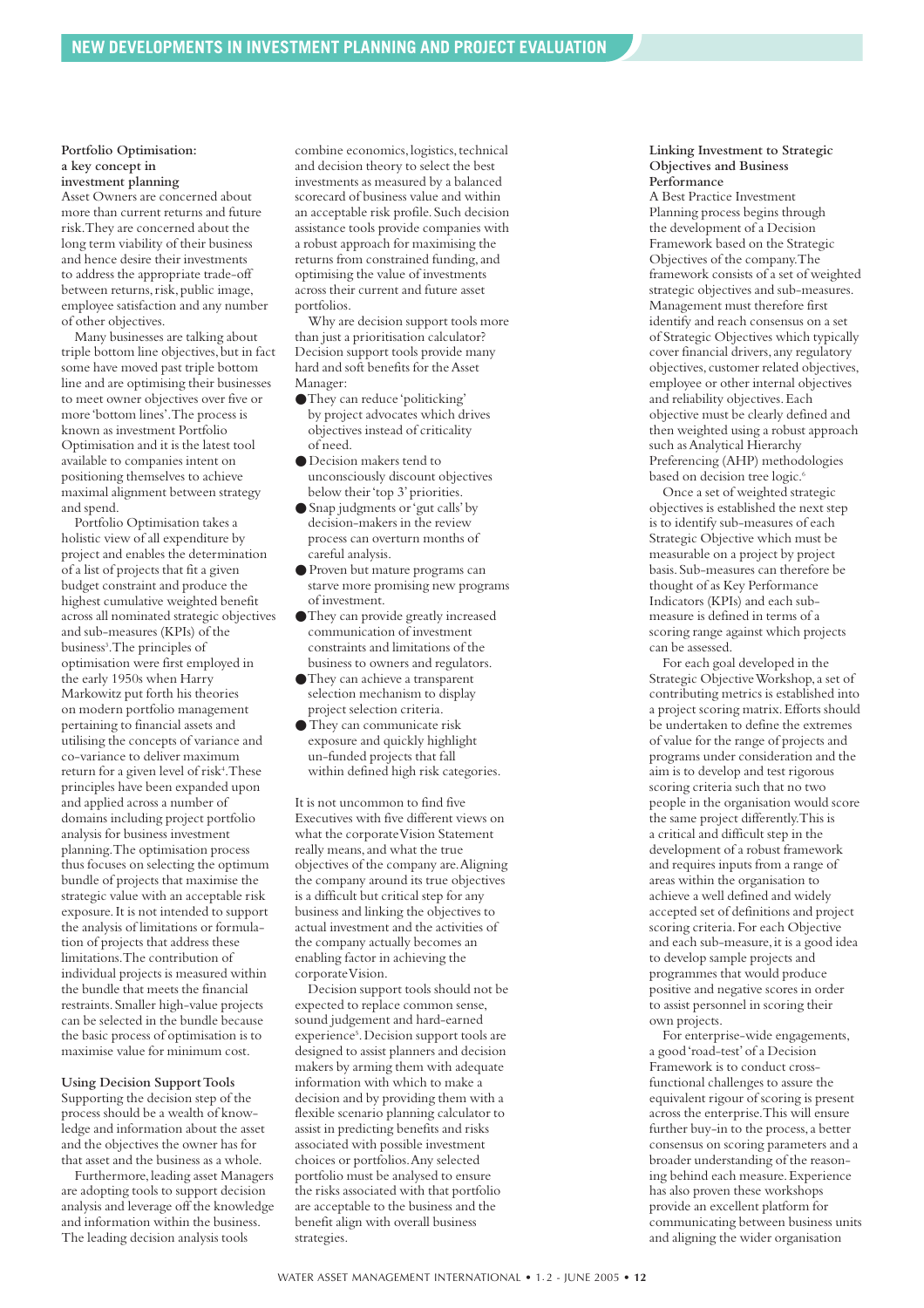#### **Portfolio Optimisation: a key concept in investment planning**

Asset Owners are concerned about more than current returns and future risk.They are concerned about the long term viability of their business and hence desire their investments to address the appropriate trade-off between returns, risk, public image, employee satisfaction and any number of other objectives.

Many businesses are talking about triple bottom line objectives, but in fact some have moved past triple bottom line and are optimising their businesses to meet owner objectives over five or more 'bottom lines'.The process is known as investment Portfolio Optimisation and it is the latest tool available to companies intent on positioning themselves to achieve maximal alignment between strategy and spend.

Portfolio Optimisation takes a holistic view of all expenditure by project and enables the determination of a list of projects that fit a given budget constraint and produce the highest cumulative weighted benefit across all nominated strategic objectives and sub-measures (KPIs) of the business<sup>3</sup>. The principles of optimisation were first employed in the early 1950s when Harry Markowitz put forth his theories on modern portfolio management pertaining to financial assets and utilising the concepts of variance and co-variance to deliver maximum return for a given level of risk<sup>4</sup>. These principles have been expanded upon and applied across a number of domains including project portfolio analysis for business investment planning.The optimisation process thus focuses on selecting the optimum bundle of projects that maximise the strategic value with an acceptable risk exposure.It is not intended to support the analysis of limitations or formulation of projects that address these limitations.The contribution of individual projects is measured within the bundle that meets the financial restraints.Smaller high-value projects can be selected in the bundle because the basic process of optimisation is to maximise value for minimum cost.

#### **Using Decision Support Tools**

Supporting the decision step of the process should be a wealth of knowledge and information about the asset and the objectives the owner has for that asset and the business as a whole.

Furthermore, leading asset Managers are adopting tools to support decision analysis and leverage off the knowledge and information within the business. The leading decision analysis tools

combine economics,logistics,technical and decision theory to select the best investments as measured by a balanced scorecard of business value and within an acceptable risk profile.Such decision assistance tools provide companies with a robust approach for maximising the returns from constrained funding, and optimising the value of investments across their current and future asset portfolios.

Why are decision support tools more than just a prioritisation calculator? Decision support tools provide many hard and soft benefits for the Asset Manager:

- ●They can reduce 'politicking' by project advocates which drives objectives instead of criticality of need.
- Decision makers tend to unconsciously discount objectives below their 'top 3'priorities.
- Snap judgments or 'gut calls'by decision-makers in the review process can overturn months of careful analysis.
- Proven but mature programs can starve more promising new programs of investment.
- ●They can provide greatly increased communication of investment constraints and limitations of the business to owners and regulators.
- ●They can achieve a transparent selection mechanism to display project selection criteria.
- They can communicate risk exposure and quickly highlight un-funded projects that fall within defined high risk categories.

It is not uncommon to find five Executives with five different views on what the corporate Vision Statement really means,and what the true objectives of the company are.Aligning the company around its true objectives is a difficult but critical step for any business and linking the objectives to actual investment and the activities of the company actually becomes an enabling factor in achieving the corporate Vision.

Decision support tools should not be expected to replace common sense, sound judgement and hard-earned experience<sup>5</sup>. Decision support tools are designed to assist planners and decision makers by arming them with adequate information with which to make a decision and by providing them with a flexible scenario planning calculator to assist in predicting benefits and risks associated with possible investment choices or portfolios.Any selected portfolio must be analysed to ensure the risks associated with that portfolio are acceptable to the business and the benefit align with overall business strategies.

#### **Linking Investment to Strategic Objectives and Business Performance**

A Best Practice Investment Planning process begins through the development of a Decision Framework based on the Strategic Objectives of the company.The framework consists of a set of weighted strategic objectives and sub-measures. Management must therefore first identify and reach consensus on a set of Strategic Objectives which typically cover financial drivers,any regulatory objectives, customer related objectives, employee or other internal objectives and reliability objectives.Each objective must be clearly defined and then weighted using a robust approach such as Analytical Hierarchy Preferencing (AHP) methodologies based on decision tree logic.<sup>6</sup>

Once a set of weighted strategic objectives is established the next step is to identify sub-measures of each Strategic Objective which must be measurable on a project by project basis.Sub-measures can therefore be thought of as Key Performance Indicators (KPIs) and each submeasure is defined in terms of a scoring range against which projects can be assessed.

For each goal developed in the Strategic Objective Workshop,a set of contributing metrics is established into a project scoring matrix.Efforts should be undertaken to define the extremes of value for the range of projects and programs under consideration and the aim is to develop and test rigorous scoring criteria such that no two people in the organisation would score the same project differently.This is a critical and difficult step in the development of a robust framework and requires inputs from a range of areas within the organisation to achieve a well defined and widely accepted set of definitions and project scoring criteria.For each Objective and each sub-measure, it is a good idea to develop sample projects and programmes that would produce positive and negative scores in order to assist personnel in scoring their own projects.

For enterprise-wide engagements, a good 'road-test'of a Decision Framework is to conduct crossfunctional challenges to assure the equivalent rigour of scoring is present across the enterprise.This will ensure further buy-in to the process,a better consensus on scoring parameters and a broader understanding of the reasoning behind each measure.Experience has also proven these workshops provide an excellent platform for communicating between business units and aligning the wider organisation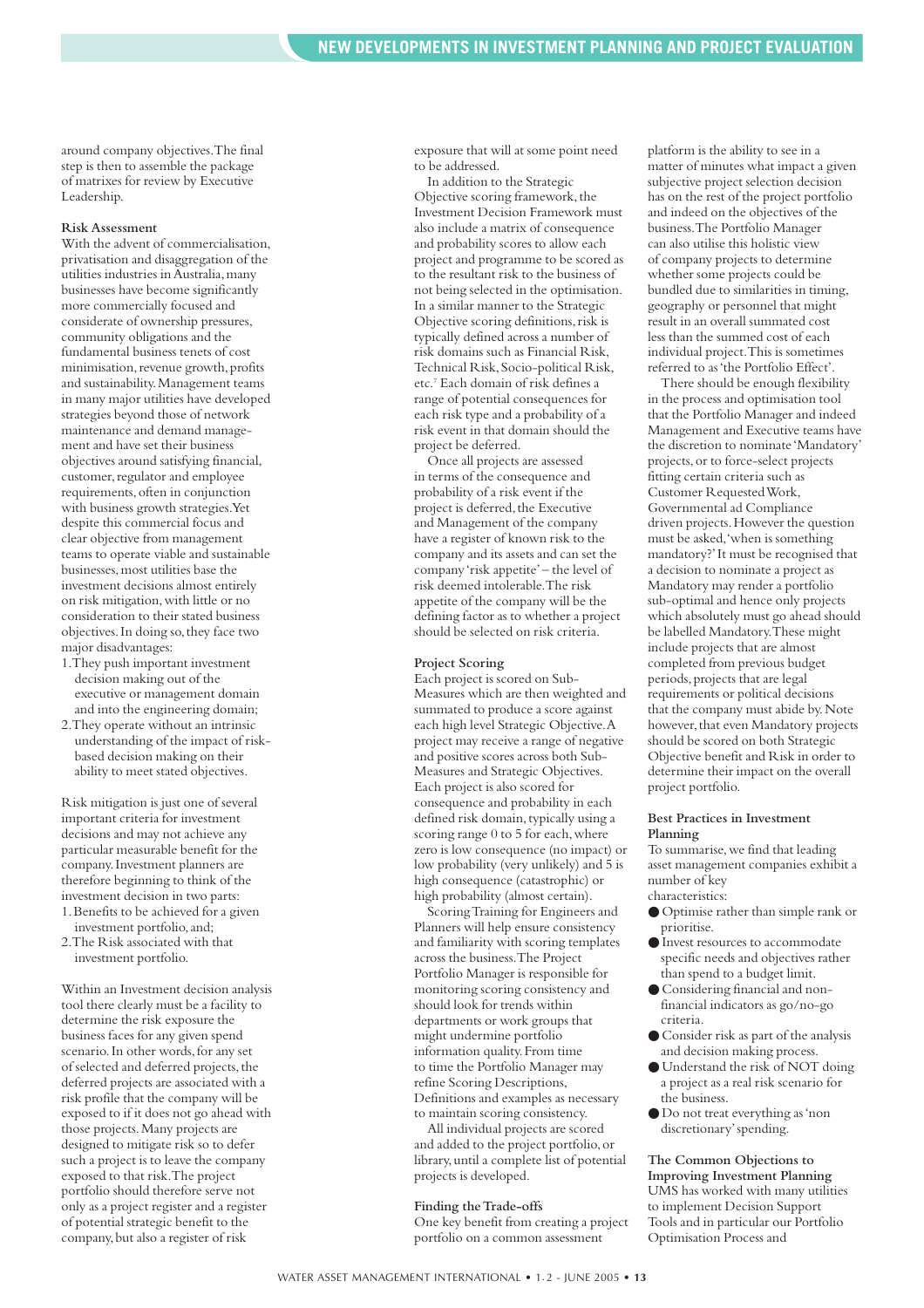around company objectives.The final step is then to assemble the package of matrixes for review by Executive Leadership.

#### **Risk Assessment**

With the advent of commercialisation, privatisation and disaggregation of the utilities industries in Australia,many businesses have become significantly more commercially focused and considerate of ownership pressures, community obligations and the fundamental business tenets of cost minimisation, revenue growth, profits and sustainability.Management teams in many major utilities have developed strategies beyond those of network maintenance and demand management and have set their business objectives around satisfying financial, customer, regulator and employee requirements,often in conjunction with business growth strategies.Yet despite this commercial focus and clear objective from management teams to operate viable and sustainable businesses,most utilities base the investment decisions almost entirely on risk mitigation,with little or no consideration to their stated business objectives.In doing so,they face two major disadvantages:

- 1.They push important investment decision making out of the executive or management domain and into the engineering domain;
- 2.They operate without an intrinsic understanding of the impact of riskbased decision making on their ability to meet stated objectives.

Risk mitigation is just one of several important criteria for investment decisions and may not achieve any particular measurable benefit for the company.Investment planners are therefore beginning to think of the investment decision in two parts: 1.Benefits to be achieved for a given

- investment portfolio,and; 2.The Risk associated with that
- investment portfolio.

Within an Investment decision analysis tool there clearly must be a facility to determine the risk exposure the business faces for any given spend scenario. In other words, for any set of selected and deferred projects, the deferred projects are associated with a risk profile that the company will be exposed to if it does not go ahead with those projects.Many projects are designed to mitigate risk so to defer such a project is to leave the company exposed to that risk.The project portfolio should therefore serve not only as a project register and a register of potential strategic benefit to the company,but also a register of risk

exposure that will at some point need to be addressed.

In addition to the Strategic Objective scoring framework, the Investment Decision Framework must also include a matrix of consequence and probability scores to allow each project and programme to be scored as to the resultant risk to the business of not being selected in the optimisation. In a similar manner to the Strategic Objective scoring definitions,risk is typically defined across a number of risk domains such as Financial Risk, Technical Risk, Socio-political Risk, etc.7 Each domain of risk defines a range of potential consequences for each risk type and a probability of a risk event in that domain should the project be deferred.

Once all projects are assessed in terms of the consequence and probability of a risk event if the project is deferred, the Executive and Management of the company have a register of known risk to the company and its assets and can set the company 'risk appetite'– the level of risk deemed intolerable.The risk appetite of the company will be the defining factor as to whether a project should be selected on risk criteria.

#### **Project Scoring**

Each project is scored on Sub-Measures which are then weighted and summated to produce a score against each high level Strategic Objective.A project may receive a range of negative and positive scores across both Sub-Measures and Strategic Objectives. Each project is also scored for consequence and probability in each defined risk domain, typically using a scoring range 0 to 5 for each, where zero is low consequence (no impact) or low probability (very unlikely) and 5 is high consequence (catastrophic) or high probability (almost certain).

Scoring Training for Engineers and Planners will help ensure consistency and familiarity with scoring templates across the business.The Project Portfolio Manager is responsible for monitoring scoring consistency and should look for trends within departments or work groups that might undermine portfolio information quality.From time to time the Portfolio Manager may refine Scoring Descriptions, Definitions and examples as necessary to maintain scoring consistency.

All individual projects are scored and added to the project portfolio,or library,until a complete list of potential projects is developed.

#### **Finding the Trade-offs**

One key benefit from creating a project portfolio on a common assessment

platform is the ability to see in a matter of minutes what impact a given subjective project selection decision has on the rest of the project portfolio and indeed on the objectives of the business.The Portfolio Manager can also utilise this holistic view of company projects to determine whether some projects could be bundled due to similarities in timing, geography or personnel that might result in an overall summated cost less than the summed cost of each individual project.This is sometimes referred to as 'the Portfolio Effect'.

There should be enough flexibility in the process and optimisation tool that the Portfolio Manager and indeed Management and Executive teams have the discretion to nominate 'Mandatory' projects,or to force-select projects fitting certain criteria such as Customer Requested Work, Governmental ad Compliance driven projects.However the question must be asked,'when is something mandatory?'It must be recognised that a decision to nominate a project as Mandatory may render a portfolio sub-optimal and hence only projects which absolutely must go ahead should be labelled Mandatory.These might include projects that are almost completed from previous budget periods,projects that are legal requirements or political decisions that the company must abide by.Note however, that even Mandatory projects should be scored on both Strategic Objective benefit and Risk in order to determine their impact on the overall project portfolio.

#### **Best Practices in Investment Planning**

To summarise, we find that leading asset management companies exhibit a number of key characteristics:

- Optimise rather than simple rank or prioritise.
- Invest resources to accommodate specific needs and objectives rather than spend to a budget limit.
- Considering financial and nonfinancial indicators as go/no-go criteria.
- Consider risk as part of the analysis and decision making process.
- Understand the risk of NOT doing a project as a real risk scenario for the business.
- Do not treat everything as 'non discretionary'spending.

**The Common Objections to Improving Investment Planning** UMS has worked with many utilities to implement Decision Support Tools and in particular our Portfolio Optimisation Process and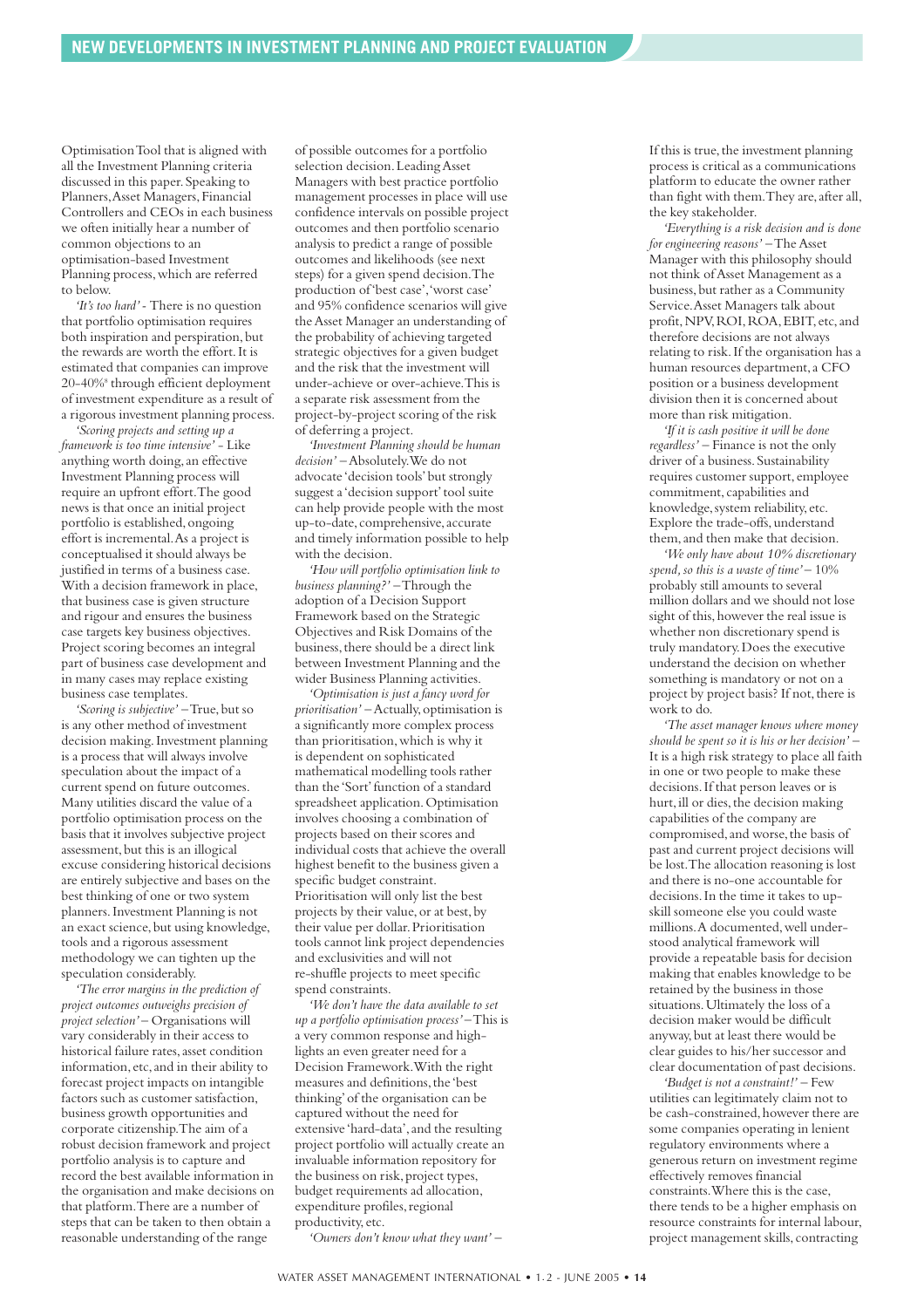Optimisation Tool that is aligned with all the Investment Planning criteria discussed in this paper.Speaking to Planners,Asset Managers,Financial Controllers and CEOs in each business we often initially hear a number of common objections to an optimisation-based Investment Planning process,which are referred to below.

*'It's too hard'-* There is no question that portfolio optimisation requires both inspiration and perspiration, but the rewards are worth the effort.It is estimated that companies can improve 20-40%8 through efficient deployment of investment expenditure as a result of a rigorous investment planning process.

*'Scoring projects and setting up a framework is too time intensive'* - Like anything worth doing,an effective Investment Planning process will require an upfront effort.The good news is that once an initial project portfolio is established, ongoing effort is incremental.As a project is conceptualised it should always be justified in terms of a business case. With a decision framework in place, that business case is given structure and rigour and ensures the business case targets key business objectives. Project scoring becomes an integral part of business case development and in many cases may replace existing business case templates.

'Scoring is subjective' - True, but so is any other method of investment decision making. Investment planning is a process that will always involve speculation about the impact of a current spend on future outcomes. Many utilities discard the value of a portfolio optimisation process on the basis that it involves subjective project assessment, but this is an illogical excuse considering historical decisions are entirely subjective and bases on the best thinking of one or two system planners.Investment Planning is not an exact science, but using knowledge, tools and a rigorous assessment methodology we can tighten up the speculation considerably.

*'The error margins in the prediction of project outcomes outweighs precision of project selection'*– Organisations will vary considerably in their access to historical failure rates, asset condition information,etc,and in their ability to forecast project impacts on intangible factors such as customer satisfaction, business growth opportunities and corporate citizenship.The aim of a robust decision framework and project portfolio analysis is to capture and record the best available information in the organisation and make decisions on that platform.There are a number of steps that can be taken to then obtain a reasonable understanding of the range

of possible outcomes for a portfolio selection decision.Leading Asset Managers with best practice portfolio management processes in place will use confidence intervals on possible project outcomes and then portfolio scenario analysis to predict a range of possible outcomes and likelihoods (see next steps) for a given spend decision.The production of 'best case','worst case' and 95% confidence scenarios will give the Asset Manager an understanding of the probability of achieving targeted strategic objectives for a given budget and the risk that the investment will under-achieve or over-achieve.This is a separate risk assessment from the project-by-project scoring of the risk of deferring a project.

*'Investment Planning should be human decision'* – Absolutely.We do not advocate 'decision tools'but strongly suggest a 'decision support' tool suite can help provide people with the most up-to-date,comprehensive,accurate and timely information possible to help with the decision.

*'How will portfolio optimisation link to business planning?'* – Through the adoption of a Decision Support Framework based on the Strategic Objectives and Risk Domains of the business, there should be a direct link between Investment Planning and the wider Business Planning activities.

*'Optimisation is just a fancy word for prioritisation'* – Actually, optimisation is a significantly more complex process than prioritisation,which is why it is dependent on sophisticated mathematical modelling tools rather than the 'Sort'function of a standard spreadsheet application.Optimisation involves choosing a combination of projects based on their scores and individual costs that achieve the overall highest benefit to the business given a specific budget constraint. Prioritisation will only list the best projects by their value, or at best, by their value per dollar. Prioritisation tools cannot link project dependencies and exclusivities and will not re-shuffle projects to meet specific spend constraints.

*'We don't have the data available to set up a portfolio optimisation process'*– This is a very common response and highlights an even greater need for a Decision Framework.With the right measures and definitions,the 'best thinking'of the organisation can be captured without the need for extensive 'hard-data',and the resulting project portfolio will actually create an invaluable information repository for the business on risk, project types, budget requirements ad allocation, expenditure profiles, regional productivity,etc.

*'Owners don't know what they want'* –

If this is true, the investment planning process is critical as a communications platform to educate the owner rather than fight with them.They are,after all, the key stakeholder.

*'Everything is a risk decision and is done for engineering reasons'* – The Asset Manager with this philosophy should not think of Asset Management as a business,but rather as a Community Service.Asset Managers talk about profit,NPV,ROI,ROA,EBIT,etc,and therefore decisions are not always relating to risk.If the organisation has a human resources department,a CFO position or a business development division then it is concerned about more than risk mitigation.

*'If it is cash positive it will be done regardless'* – Finance is not the only driver of a business. Sustainability requires customer support,employee commitment, capabilities and knowledge, system reliability, etc. Explore the trade-offs,understand them,and then make that decision.

*'We only have about 10% discretionary spend,so this is a waste of time'*– 10% probably still amounts to several million dollars and we should not lose sight of this, however the real issue is whether non discretionary spend is truly mandatory.Does the executive understand the decision on whether something is mandatory or not on a project by project basis? If not, there is work to do.

*'The asset manager knows where money should be spent so it is his or her decision'* – It is a high risk strategy to place all faith in one or two people to make these decisions.If that person leaves or is hurt, ill or dies, the decision making capabilities of the company are compromised,and worse,the basis of past and current project decisions will be lost.The allocation reasoning is lost and there is no-one accountable for decisions.In the time it takes to upskill someone else you could waste millions.A documented,well understood analytical framework will provide a repeatable basis for decision making that enables knowledge to be retained by the business in those situations. Ultimately the loss of a decision maker would be difficult anyway, but at least there would be clear guides to his/her successor and clear documentation of past decisions.

*'Budget is not a constraint!'* – Few utilities can legitimately claim not to be cash-constrained, however there are some companies operating in lenient regulatory environments where a generous return on investment regime effectively removes financial constraints.Where this is the case, there tends to be a higher emphasis on resource constraints for internal labour, project management skills, contracting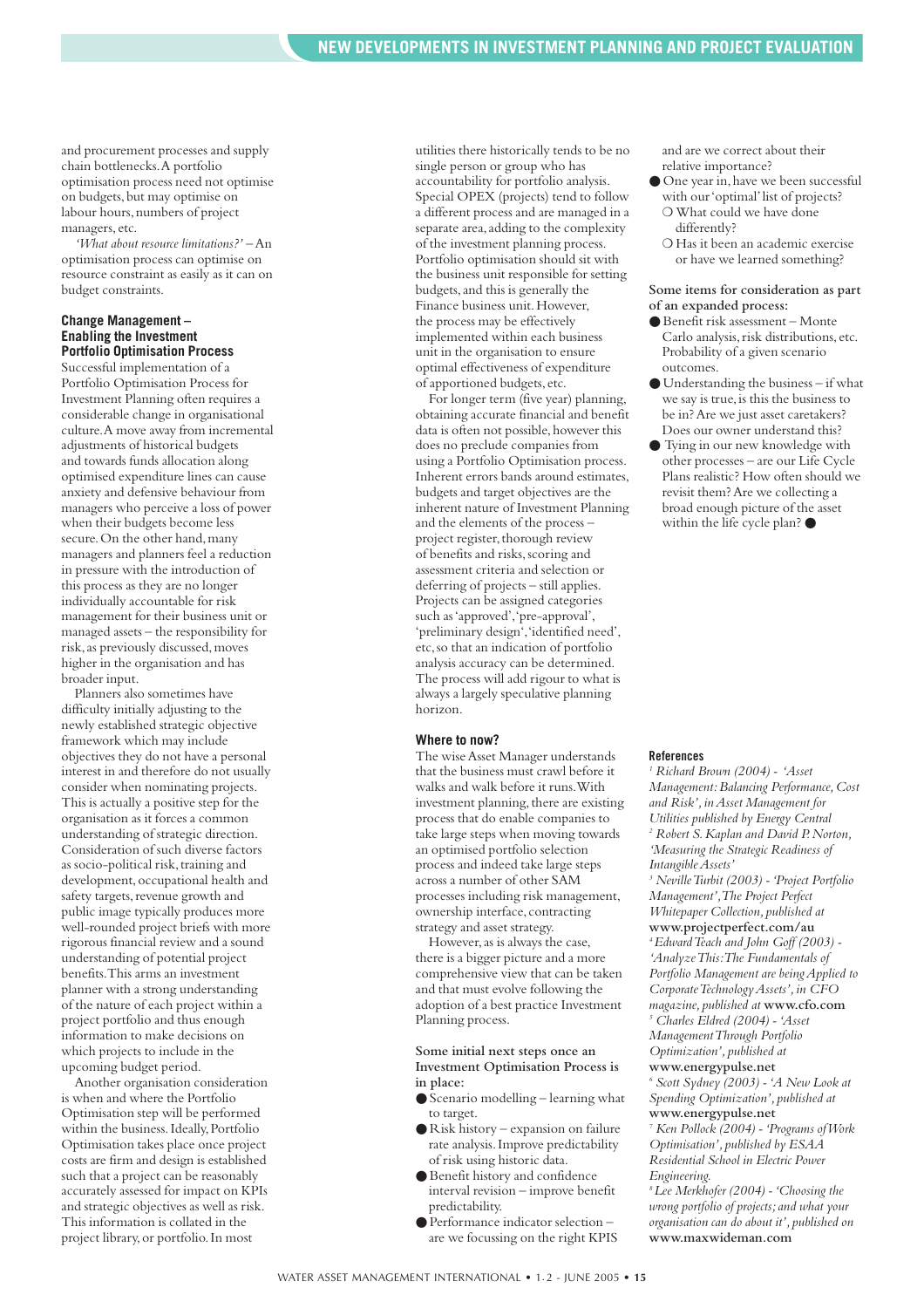and procurement processes and supply chain bottlenecks.A portfolio optimisation process need not optimise on budgets,but may optimise on labour hours, numbers of project managers,etc.

*'What about resource limitations?'* – An optimisation process can optimise on resource constraint as easily as it can on budget constraints.

#### **Change Management – Enabling the Investment Portfolio Optimisation Process**

Successful implementation of a Portfolio Optimisation Process for Investment Planning often requires a considerable change in organisational culture.A move away from incremental adjustments of historical budgets and towards funds allocation along optimised expenditure lines can cause anxiety and defensive behaviour from managers who perceive a loss of power when their budgets become less secure. On the other hand, many managers and planners feel a reduction in pressure with the introduction of this process as they are no longer individually accountable for risk management for their business unit or managed assets – the responsibility for risk,as previously discussed,moves higher in the organisation and has broader input.

Planners also sometimes have difficulty initially adjusting to the newly established strategic objective framework which may include objectives they do not have a personal interest in and therefore do not usually consider when nominating projects. This is actually a positive step for the organisation as it forces a common understanding of strategic direction. Consideration of such diverse factors as socio-political risk, training and development, occupational health and safety targets, revenue growth and public image typically produces more well-rounded project briefs with more rigorous financial review and a sound understanding of potential project benefits.This arms an investment planner with a strong understanding of the nature of each project within a project portfolio and thus enough information to make decisions on which projects to include in the upcoming budget period.

Another organisation consideration is when and where the Portfolio Optimisation step will be performed within the business. Ideally, Portfolio Optimisation takes place once project costs are firm and design is established such that a project can be reasonably accurately assessed for impact on KPIs and strategic objectives as well as risk. This information is collated in the project library,or portfolio.In most

utilities there historically tends to be no single person or group who has accountability for portfolio analysis. Special OPEX (projects) tend to follow a different process and are managed in a separate area, adding to the complexity of the investment planning process. Portfolio optimisation should sit with the business unit responsible for setting budgets,and this is generally the Finance business unit.However, the process may be effectively implemented within each business unit in the organisation to ensure optimal effectiveness of expenditure of apportioned budgets,etc.

For longer term (five year) planning, obtaining accurate financial and benefit data is often not possible, however this does no preclude companies from using a Portfolio Optimisation process. Inherent errors bands around estimates, budgets and target objectives are the inherent nature of Investment Planning and the elements of the process – project register, thorough review of benefits and risks,scoring and assessment criteria and selection or deferring of projects – still applies. Projects can be assigned categories such as 'approved','pre-approval', 'preliminary design','identified need', etc,so that an indication of portfolio analysis accuracy can be determined. The process will add rigour to what is always a largely speculative planning horizon.

#### **Where to now?**

The wise Asset Manager understands that the business must crawl before it walks and walk before it runs.With investment planning, there are existing process that do enable companies to take large steps when moving towards an optimised portfolio selection process and indeed take large steps across a number of other SAM processes including risk management, ownership interface,contracting strategy and asset strategy.

However,as is always the case, there is a bigger picture and a more comprehensive view that can be taken and that must evolve following the adoption of a best practice Investment Planning process.

#### **Some initial next steps once an Investment Optimisation Process is in place:**

- Scenario modelling learning what to target.
- Risk history expansion on failure rate analysis.Improve predictability of risk using historic data.
- Benefit history and confidence interval revision – improve benefit predictability.
- Performance indicator selection are we focussing on the right KPIS

and are we correct about their relative importance?

- One year in,have we been successful with our 'optimal' list of projects? ❍ What could we have done differently?
	- ❍ Has it been an academic exercise or have we learned something?

#### **Some items for consideration as part of an expanded process:**

- Benefit risk assessment Monte Carlo analysis,risk distributions,etc. Probability of a given scenario outcomes.
- Understanding the business if what we say is true, is this the business to be in? Are we just asset caretakers? Does our owner understand this?
- Tying in our new knowledge with other processes – are our Life Cycle Plans realistic? How often should we revisit them? Are we collecting a broad enough picture of the asset within the life cycle plan?  $\bullet$

#### **References**

*<sup>1</sup> Richard Brown (2004) - 'Asset Management:Balancing Performance,Cost and Risk',in Asset Management for Utilities published by Energy Central <sup>2</sup> Robert S.Kaplan and David P.Norton, 'Measuring the Strategic Readiness of Intangible Assets'*

*<sup>3</sup> Neville Turbit (2003) - 'Project Portfolio Management',The Project Perfect Whitepaper Collection, published at* **<www.projectperfect.com/au>** *4 Edward Teach and John Goff (2003) - 'Analyze This:The Fundamentals of Portfolio Management are being Applied to Corporate Technology Assets',in CFO*

*magazine,published at* **<www.cfo.com>** *<sup>5</sup> Charles Eldred (2004) - 'Asset Management Through Portfolio Optimization',published at*  **<www.energypulse.net>**

*<sup>6</sup> Scott Sydney (2003) - 'A New Look at Spending Optimization',published at* **<www.energypulse.net>**

*<sup>7</sup> Ken Pollock (2004) - 'Programs of Work Optimisation',published by ESAA Residential School in Electric Power Engineering.*

*8 Lee Merkhofer (2004) - 'Choosing the wrong portfolio of projects;and what your organisation can do about it',published on* **<www.maxwideman.com>**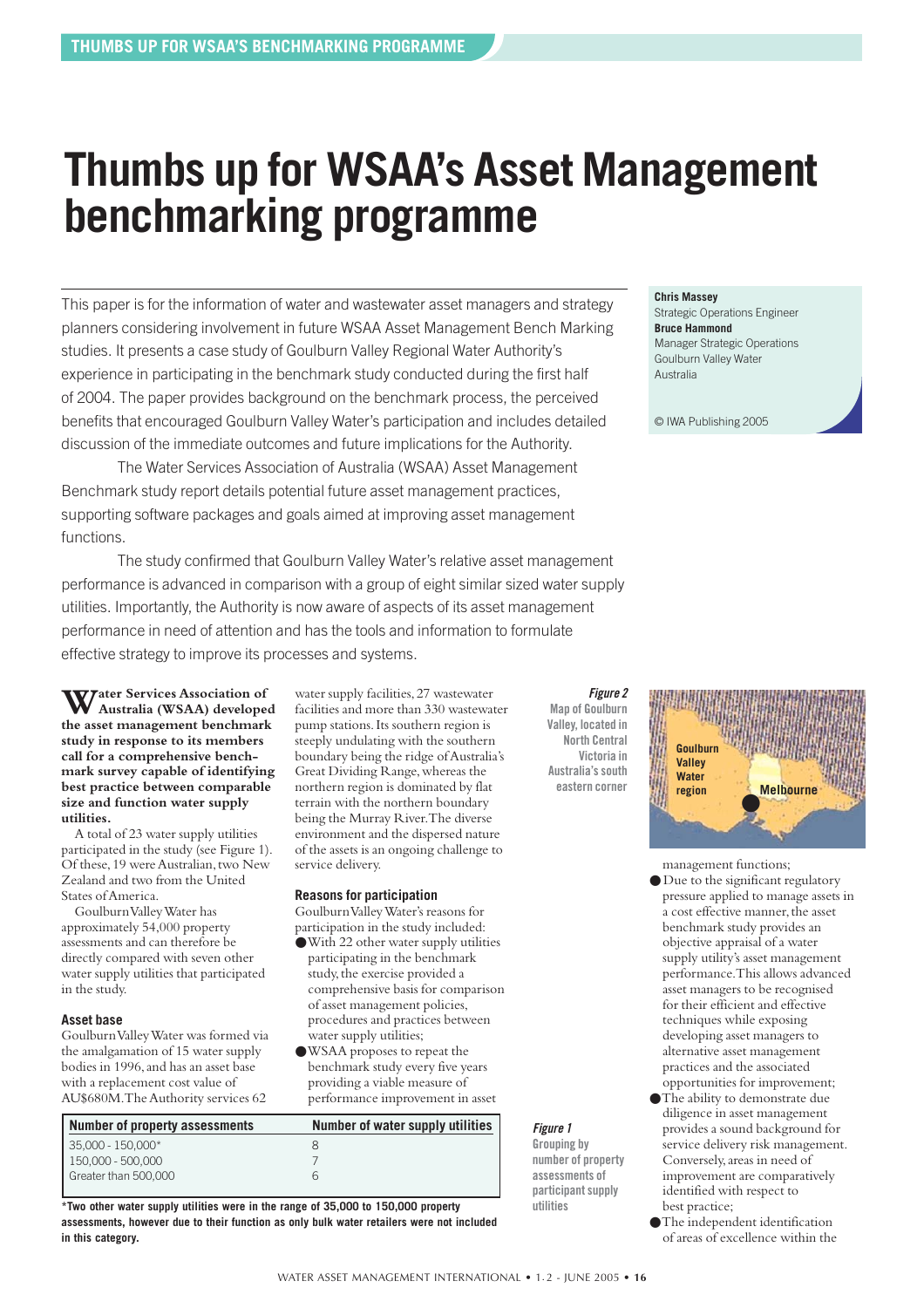### <span id="page-15-0"></span>**Thumbs up for WSAA's Asset Management benchmarking programme**

This paper is for the information of water and wastewater asset managers and strategy planners considering involvement in future WSAA Asset Management Bench Marking studies. It presents a case study of Goulburn Valley Regional Water Authority's experience in participating in the benchmark study conducted during the first half of 2004. The paper provides background on the benchmark process, the perceived benefits that encouraged Goulburn Valley Water's participation and includes detailed discussion of the immediate outcomes and future implications for the Authority.

The Water Services Association of Australia (WSAA) Asset Management Benchmark study report details potential future asset management practices, supporting software packages and goals aimed at improving asset management functions.

The study confirmed that Goulburn Valley Water's relative asset management performance is advanced in comparison with a group of eight similar sized water supply utilities. Importantly, the Authority is now aware of aspects of its asset management performance in need of attention and has the tools and information to formulate effective strategy to improve its processes and systems.

service delivery.

**Reasons for participation** Goulburn Valley Water's reasons for participation in the study included: ●With 22 other water supply utilities participating in the benchmark study, the exercise provided a comprehensive basis for comparison of asset management policies, procedures and practices between

water supply utilities; ●WSAA proposes to repeat the benchmark study every five years providing a viable measure of performance improvement in asset

water supply facilities,27 wastewater facilities and more than 330 wastewater pump stations.Its southern region is steeply undulating with the southern boundary being the ridge of Australia's Great Dividing Range,whereas the northern region is dominated by flat terrain with the northern boundary being the Murray River.The diverse environment and the dispersed nature of the assets is an ongoing challenge to

Water Services Association of **Australia (WSAA) developed the asset management benchmark study in response to its members call for a comprehensive benchmark survey capable of identifying best practice between comparable size and function water supply utilities.**

A total of 23 water supply utilities participated in the study (see Figure 1). Of these,19 were Australian,two New Zealand and two from the United States of America.

Goulburn Valley Water has approximately 54,000 property assessments and can therefore be directly compared with seven other water supply utilities that participated in the study.

#### **Asset base**

Goulburn Valley Water was formed via the amalgamation of 15 water supply bodies in 1996,and has an asset base with a replacement cost value of AU\$680M.The Authority services 62

| Number of property assessments | Number of water supply utilities |
|--------------------------------|----------------------------------|
| $35.000 - 150.000*$            | x                                |
| 150,000 - 500,000              |                                  |
| Greater than 500,000           | 6                                |
|                                |                                  |

**\*Two other water supply utilities were in the range of 35,000 to 150,000 property assessments, however due to their function as only bulk water retailers were not included in this category.**

*Figure 2* **Map of Goulburn Valley, located in North Central Victoria in Australia's south eastern corner**

**Chris Massey**

Strategic Operations Engineer **Bruce Hammond** Manager Strategic Operations Goulburn Valley Water Australia

© IWA Publishing 2005



management functions;

- Due to the significant regulatory pressure applied to manage assets in a cost effective manner, the asset benchmark study provides an objective appraisal of a water supply utility's asset management performance.This allows advanced asset managers to be recognised for their efficient and effective techniques while exposing developing asset managers to alternative asset management practices and the associated opportunities for improvement;
- ●The ability to demonstrate due diligence in asset management provides a sound background for service delivery risk management. Conversely,areas in need of improvement are comparatively identified with respect to best practice;
- ●The independent identification of areas of excellence within the

*Figure 1* **Grouping by number of property assessments of participant supply**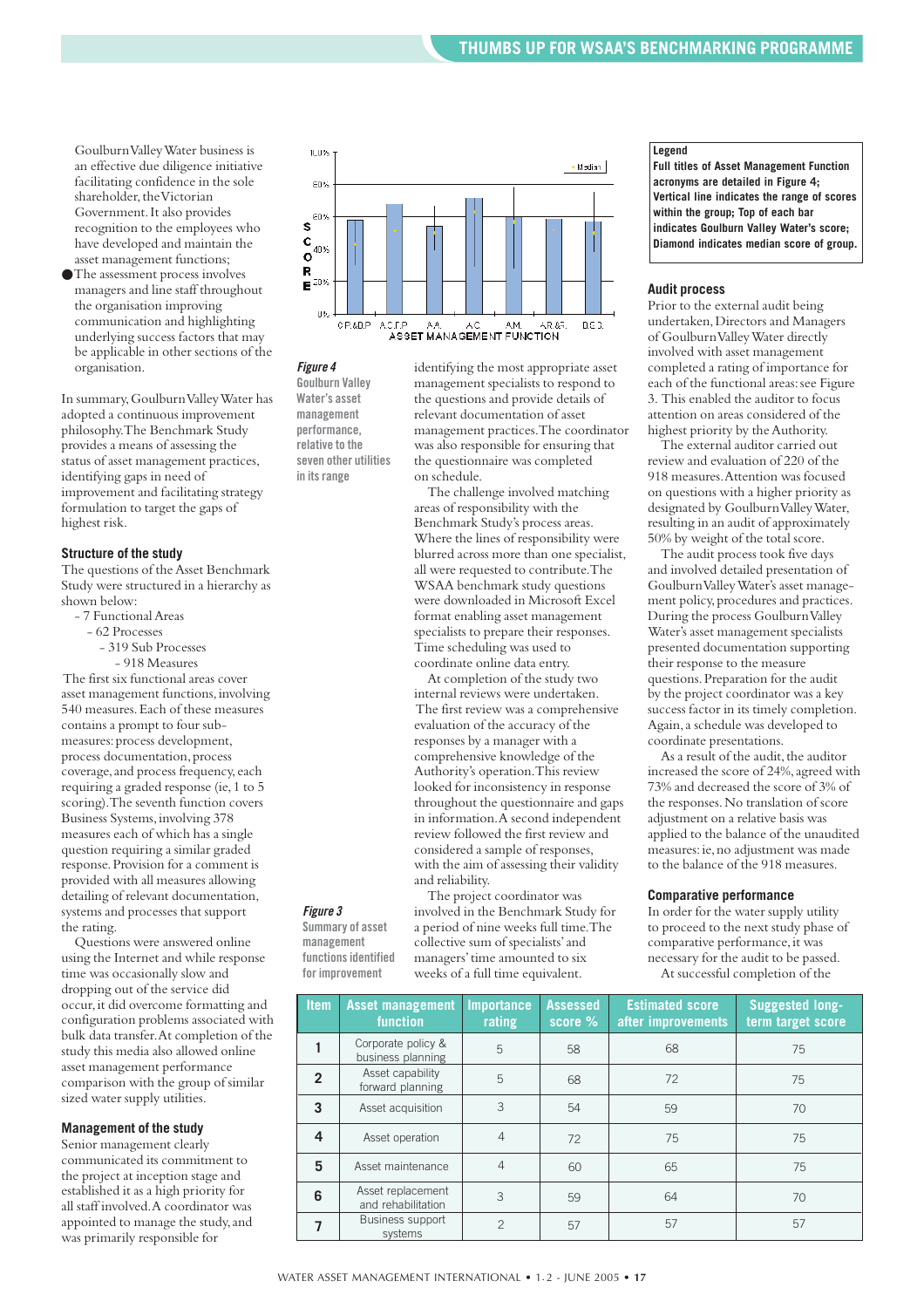Goulburn Valley Water business is an effective due diligence initiative facilitating confidence in the sole shareholder, the Victorian Government.It also provides recognition to the employees who have developed and maintain the asset management functions;

●The assessment process involves managers and line staff throughout the organisation improving communication and highlighting underlying success factors that may be applicable in other sections of the organisation.

In summary,Goulburn Valley Water has adopted a continuous improvement philosophy.The Benchmark Study provides a means of assessing the status of asset management practices, identifying gaps in need of improvement and facilitating strategy formulation to target the gaps of highest risk.

#### **Structure of the study**

The questions of the Asset Benchmark Study were structured in a hierarchy as shown below:

- 7 Functional Areas
	- 62 Processes
	- 319 Sub Processes
		- 918 Measures

The first six functional areas cover asset management functions,involving 540 measures.Each of these measures contains a prompt to four submeasures:process development, process documentation,process coverage, and process frequency, each requiring a graded response (ie,1 to 5 scoring).The seventh function covers Business Systems,involving 378 measures each of which has a single question requiring a similar graded response.Provision for a comment is provided with all measures allowing detailing of relevant documentation, systems and processes that support the rating.

Questions were answered online using the Internet and while response time was occasionally slow and dropping out of the service did occur,it did overcome formatting and configuration problems associated with bulk data transfer.At completion of the study this media also allowed online asset management performance comparison with the group of similar sized water supply utilities.

#### **Management of the study**

Senior management clearly communicated its commitment to the project at inception stage and established it as a high priority for all staff involved.A coordinator was appointed to manage the study, and was primarily responsible for



*Figure 4*

*Figure 3* **Summary of asset management functions identified for improvement**

**Goulburn Valley Water's asset management performance, relative to the seven other utilities in its range**

identifying the most appropriate asset management specialists to respond to the questions and provide details of relevant documentation of asset management practices.The coordinator was also responsible for ensuring that the questionnaire was completed on schedule.

The challenge involved matching areas of responsibility with the Benchmark Study's process areas. Where the lines of responsibility were blurred across more than one specialist, all were requested to contribute.The WSAA benchmark study questions were downloaded in Microsoft Excel format enabling asset management specialists to prepare their responses. Time scheduling was used to coordinate online data entry.

At completion of the study two internal reviews were undertaken. The first review was a comprehensive evaluation of the accuracy of the responses by a manager with a comprehensive knowledge of the Authority's operation.This review looked for inconsistency in response throughout the questionnaire and gaps in information.A second independent review followed the first review and considered a sample of responses, with the aim of assessing their validity and reliability.

The project coordinator was involved in the Benchmark Study for a period of nine weeks full time.The collective sum of specialists'and managers'time amounted to six weeks of a full time equivalent.

#### **Legend**

**Full titles of Asset Management Function acronyms are detailed in Figure 4; Vertical line indicates the range of scores within the group; Top of each bar indicates Goulburn Valley Water's score; Diamond indicates median score of group.** 

#### **Audit process**

Prior to the external audit being undertaken,Directors and Managers of Goulburn Valley Water directly involved with asset management completed a rating of importance for each of the functional areas: see Figure 3. This enabled the auditor to focus attention on areas considered of the highest priority by the Authority.

The external auditor carried out review and evaluation of 220 of the 918 measures.Attention was focused on questions with a higher priority as designated by Goulburn Valley Water, resulting in an audit of approximately 50% by weight of the total score.

The audit process took five days and involved detailed presentation of Goulburn Valley Water's asset management policy, procedures and practices. During the process Goulburn Valley Water's asset management specialists presented documentation supporting their response to the measure questions.Preparation for the audit by the project coordinator was a key success factor in its timely completion. Again,a schedule was developed to coordinate presentations.

As a result of the audit, the auditor increased the score of 24%, agreed with 73% and decreased the score of 3% of the responses.No translation of score adjustment on a relative basis was applied to the balance of the unaudited measures:ie,no adjustment was made to the balance of the 918 measures.

#### **Comparative performance**

In order for the water supply utility to proceed to the next study phase of comparative performance, it was necessary for the audit to be passed. At successful completion of the

| <b>Item</b>    | <b>Asset management</b><br><b>function</b> | <b>Importance</b><br>rating | <b>Assessed</b><br>$score %$ | <b>Estimated score</b><br>after improvements | <b>Suggested long-</b><br>term target score |
|----------------|--------------------------------------------|-----------------------------|------------------------------|----------------------------------------------|---------------------------------------------|
|                | Corporate policy &<br>business planning    | 5                           | 58                           | 68                                           | 75                                          |
| $\overline{2}$ | Asset capability<br>forward planning       | 5                           | 68                           | 72                                           | 75                                          |
| 3              | Asset acquisition                          | 3                           | 54                           | 59                                           | 70                                          |
| 4              | Asset operation                            | 4                           | 72                           | 75                                           | 75                                          |
| 5              | Asset maintenance                          | $\overline{4}$              | 60                           | 65                                           | 75                                          |
| 6              | Asset replacement<br>and rehabilitation    | 3                           | 59                           | 64                                           | 70                                          |
|                | Business support<br>systems                | $\mathfrak{D}$              | 57                           | 57                                           | 57                                          |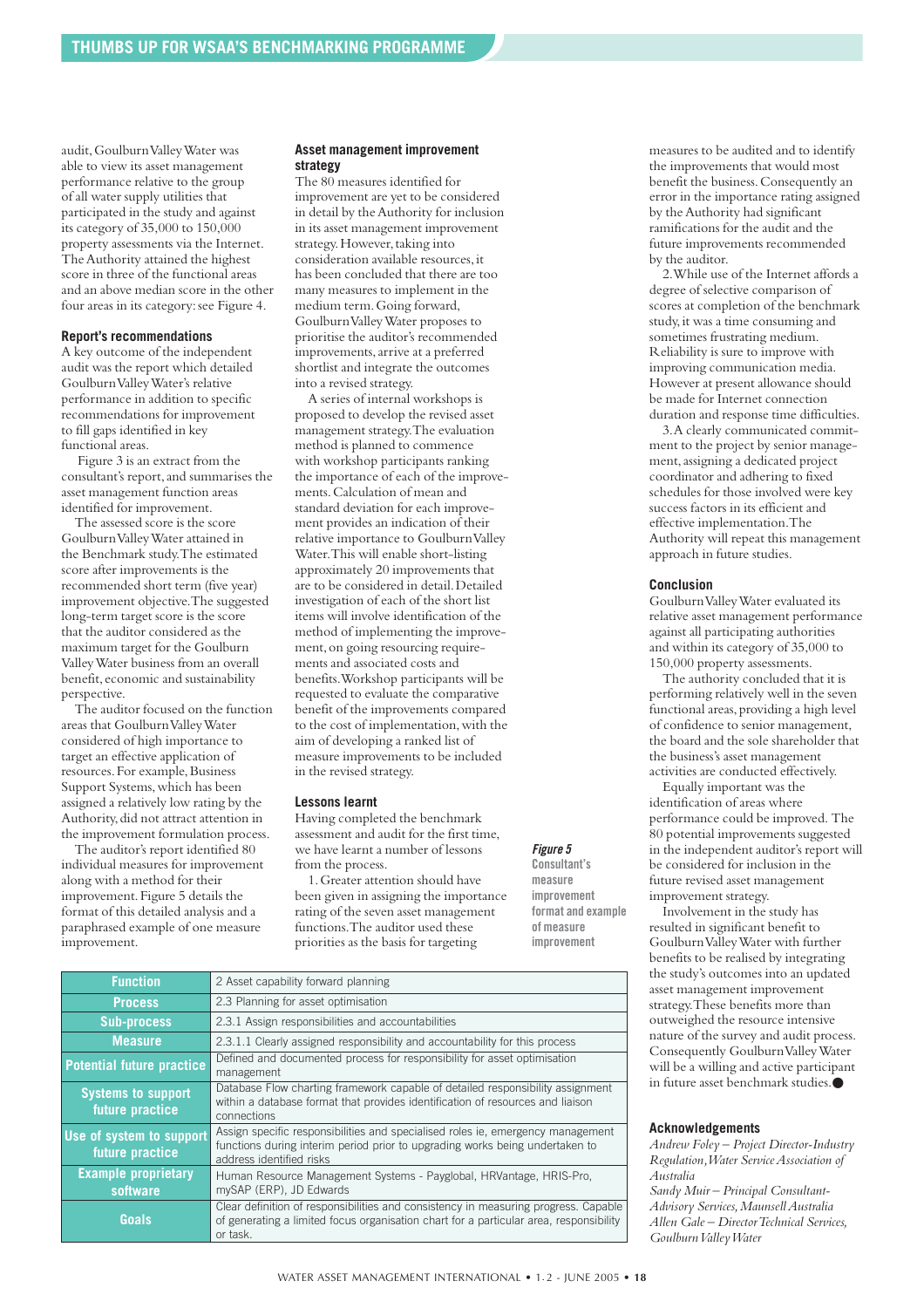audit,Goulburn Valley Water was able to view its asset management performance relative to the group of all water supply utilities that participated in the study and against its category of 35,000 to 150,000 property assessments via the Internet. The Authority attained the highest score in three of the functional areas and an above median score in the other four areas in its category:see Figure 4.

#### **Report's recommendations**

A key outcome of the independent audit was the report which detailed Goulburn Valley Water's relative performance in addition to specific recommendations for improvement to fill gaps identified in key functional areas.

Figure 3 is an extract from the consultant's report, and summarises the asset management function areas identified for improvement.

The assessed score is the score Goulburn Valley Water attained in the Benchmark study.The estimated score after improvements is the recommended short term (five year) improvement objective.The suggested long-term target score is the score that the auditor considered as the maximum target for the Goulburn Valley Water business from an overall benefit,economic and sustainability perspective.

The auditor focused on the function areas that Goulburn Valley Water considered of high importance to target an effective application of resources. For example, Business Support Systems, which has been assigned a relatively low rating by the Authority, did not attract attention in the improvement formulation process.

The auditor's report identified 80 individual measures for improvement along with a method for their improvement. Figure 5 details the format of this detailed analysis and a paraphrased example of one measure improvement.

#### **Asset management improvement strategy**

The 80 measures identified for improvement are yet to be considered in detail by the Authority for inclusion in its asset management improvement strategy. However, taking into consideration available resources,it has been concluded that there are too many measures to implement in the medium term.Going forward, Goulburn Valley Water proposes to prioritise the auditor's recommended improvements,arrive at a preferred shortlist and integrate the outcomes into a revised strategy.

A series of internal workshops is proposed to develop the revised asset management strategy.The evaluation method is planned to commence with workshop participants ranking the importance of each of the improvements.Calculation of mean and standard deviation for each improvement provides an indication of their relative importance to Goulburn Valley Water.This will enable short-listing approximately 20 improvements that are to be considered in detail.Detailed investigation of each of the short list items will involve identification of the method of implementing the improvement,on going resourcing requirements and associated costs and benefits.Workshop participants will be requested to evaluate the comparative benefit of the improvements compared to the cost of implementation,with the aim of developing a ranked list of measure improvements to be included in the revised strategy.

#### **Lessons learnt**

Having completed the benchmark assessment and audit for the first time, we have learnt a number of lessons from the process.

#### *Figure 5*

1.Greater attention should have been given in assigning the importance rating of the seven asset management functions.The auditor used these priorities as the basis for targeting

**Consultant's measure improvement format and example of measure improvement**

| <b>Function</b>                              | 2 Asset capability forward planning                                                                                                                                                         |
|----------------------------------------------|---------------------------------------------------------------------------------------------------------------------------------------------------------------------------------------------|
| <b>Process</b>                               | 2.3 Planning for asset optimisation                                                                                                                                                         |
| <b>Sub-process</b>                           | 2.3.1 Assign responsibilities and accountabilities                                                                                                                                          |
| <b>Measure</b>                               | 2.3.1.1 Clearly assigned responsibility and accountability for this process                                                                                                                 |
| <b>Potential future practice</b>             | Defined and documented process for responsibility for asset optimisation<br>management                                                                                                      |
| <b>Systems to support</b><br>future practice | Database Flow charting framework capable of detailed responsibility assignment<br>within a database format that provides identification of resources and liaison<br>connections             |
| Use of system to support<br>future practice  | Assign specific responsibilities and specialised roles ie, emergency management<br>functions during interim period prior to upgrading works being undertaken to<br>address identified risks |
| <b>Example proprietary</b><br>software       | Human Resource Management Systems - Payglobal, HRVantage, HRIS-Pro.<br>mySAP (ERP), JD Edwards                                                                                              |
| Goals                                        | Clear definition of responsibilities and consistency in measuring progress. Capable<br>of generating a limited focus organisation chart for a particular area, responsibility<br>or task.   |

measures to be audited and to identify the improvements that would most benefit the business.Consequently an error in the importance rating assigned by the Authority had significant ramifications for the audit and the future improvements recommended by the auditor.

2.While use of the Internet affords a degree of selective comparison of scores at completion of the benchmark study,it was a time consuming and sometimes frustrating medium. Reliability is sure to improve with improving communication media. However at present allowance should be made for Internet connection duration and response time difficulties.

3.A clearly communicated commitment to the project by senior management,assigning a dedicated project coordinator and adhering to fixed schedules for those involved were key success factors in its efficient and effective implementation.The Authority will repeat this management approach in future studies.

#### **Conclusion**

Goulburn Valley Water evaluated its relative asset management performance against all participating authorities and within its category of 35,000 to 150,000 property assessments.

The authority concluded that it is performing relatively well in the seven functional areas, providing a high level of confidence to senior management, the board and the sole shareholder that the business's asset management activities are conducted effectively.

Equally important was the identification of areas where performance could be improved. The 80 potential improvements suggested in the independent auditor's report will be considered for inclusion in the future revised asset management improvement strategy.

Involvement in the study has resulted in significant benefit to Goulburn Valley Water with further benefits to be realised by integrating the study's outcomes into an updated asset management improvement strategy.These benefits more than outweighed the resource intensive nature of the survey and audit process. Consequently Goulburn Valley Water will be a willing and active participant in future asset benchmark studies.●

#### **Acknowledgements**

*Andrew Foley – Project Director-Industry Regulation,Water Service Association of Australia Sandy Muir – Principal Consultant-*

*Advisory Services,Maunsell Australia Allen Gale – Director Technical Services, Goulburn Valley Water*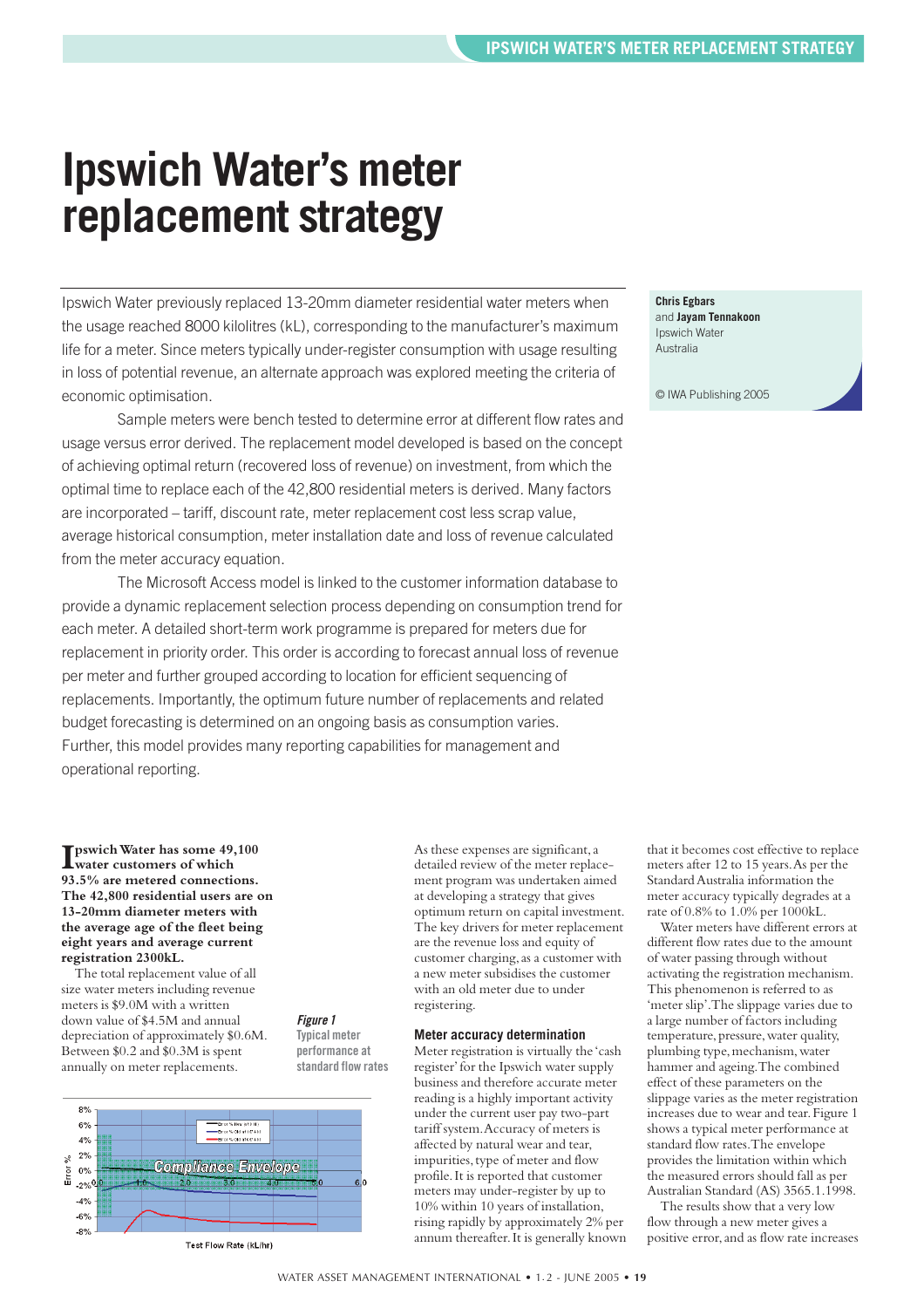### <span id="page-18-0"></span>**Ipswich Water's meter replacement strategy**

Ipswich Water previously replaced 13-20mm diameter residential water meters when the usage reached 8000 kilolitres (kL), corresponding to the manufacturer's maximum life for a meter. Since meters typically under-register consumption with usage resulting in loss of potential revenue, an alternate approach was explored meeting the criteria of economic optimisation.

Sample meters were bench tested to determine error at different flow rates and usage versus error derived. The replacement model developed is based on the concept of achieving optimal return (recovered loss of revenue) on investment, from which the optimal time to replace each of the 42,800 residential meters is derived. Many factors are incorporated – tariff, discount rate, meter replacement cost less scrap value, average historical consumption, meter installation date and loss of revenue calculated from the meter accuracy equation.

The Microsoft Access model is linked to the customer information database to provide a dynamic replacement selection process depending on consumption trend for each meter. A detailed short-term work programme is prepared for meters due for replacement in priority order. This order is according to forecast annual loss of revenue per meter and further grouped according to location for efficient sequencing of replacements. Importantly, the optimum future number of replacements and related budget forecasting is determined on an ongoing basis as consumption varies. Further, this model provides many reporting capabilities for management and operational reporting.

> *Figure 1* **Typical meter performance at standard flow rates**

#### **Chris Egbars** and **Jayam Tennakoon** Ipswich Water Australia

© IWA Publishing 2005

#### **I** pswich Water has some 49,100 water customers of which **water customers of which 93.5% are metered connections. The 42,800 residential users are on 13-20mm diameter meters with the average age of the fleet being eight years and average current registration 2300kL.**

The total replacement value of all size water meters including revenue meters is \$9.0M with a written down value of \$4.5M and annual depreciation of approximately \$0.6M. Between \$0.2 and \$0.3M is spent annually on meter replacements.



As these expenses are significant,a detailed review of the meter replacement program was undertaken aimed at developing a strategy that gives optimum return on capital investment. The key drivers for meter replacement are the revenue loss and equity of customer charging, as a customer with a new meter subsidises the customer with an old meter due to under registering.

#### **Meter accuracy determination**

Meter registration is virtually the 'cash register'for the Ipswich water supply business and therefore accurate meter reading is a highly important activity under the current user pay two-part tariff system.Accuracy of meters is affected by natural wear and tear, impurities, type of meter and flow profile.It is reported that customer meters may under-register by up to 10% within 10 years of installation, rising rapidly by approximately 2% per annum thereafter.It is generally known that it becomes cost effective to replace meters after 12 to 15 years.As per the Standard Australia information the meter accuracy typically degrades at a rate of 0.8% to 1.0% per 1000kL.

Water meters have different errors at different flow rates due to the amount of water passing through without activating the registration mechanism. This phenomenon is referred to as 'meter slip'.The slippage varies due to a large number of factors including temperature, pressure, water quality, plumbing type, mechanism, water hammer and ageing.The combined effect of these parameters on the slippage varies as the meter registration increases due to wear and tear.Figure 1 shows a typical meter performance at standard flow rates.The envelope provides the limitation within which the measured errors should fall as per Australian Standard (AS) 3565.1.1998.

The results show that a very low flow through a new meter gives a positive error,and as flow rate increases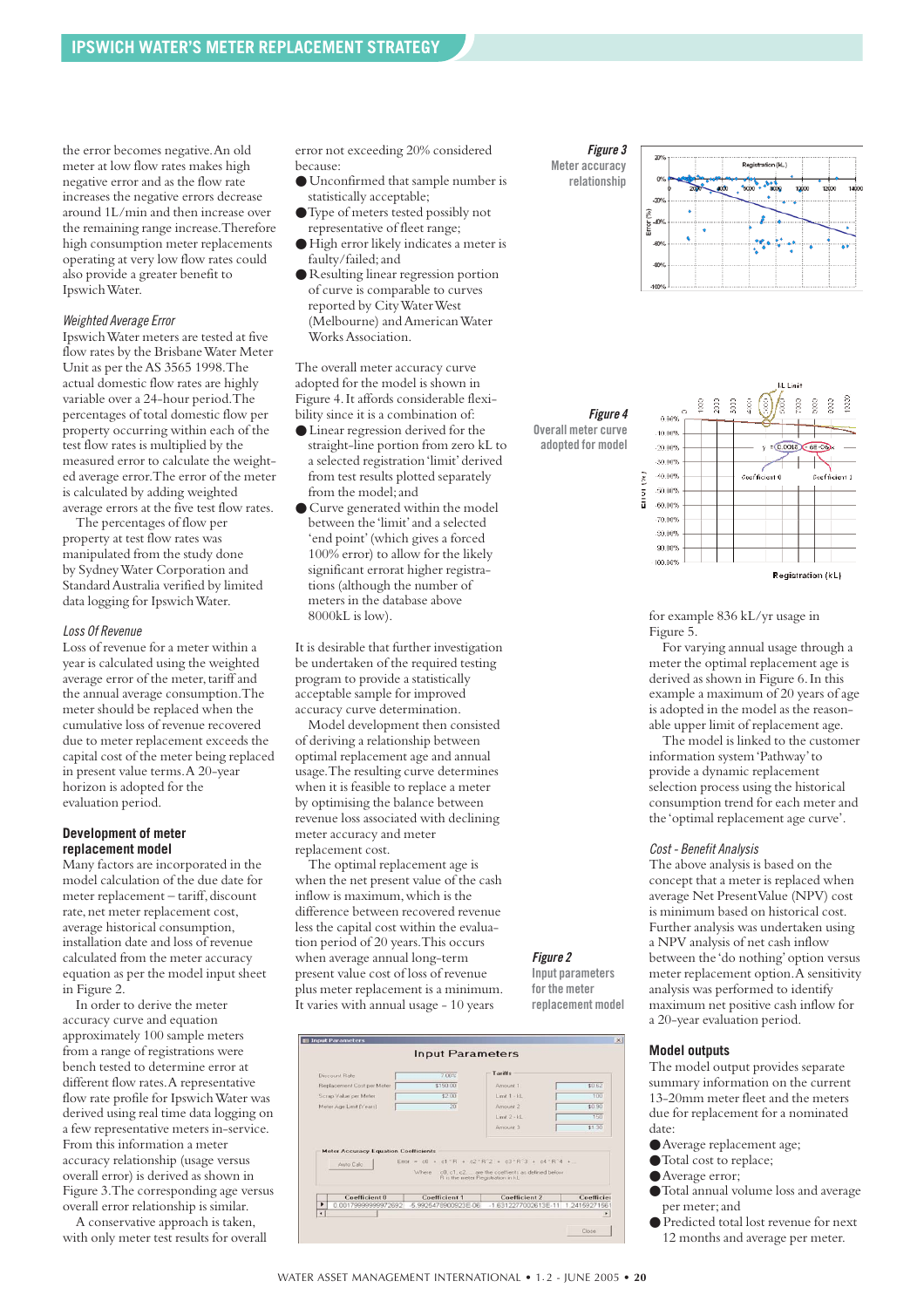the error becomes negative.An old meter at low flow rates makes high negative error and as the flow rate increases the negative errors decrease around 1L/min and then increase over the remaining range increase.Therefore high consumption meter replacements operating at very low flow rates could also provide a greater benefit to Ipswich Water.

#### *Weighted Average Error*

Ipswich Water meters are tested at five flow rates by the Brisbane Water Meter Unit as per the AS 3565 1998.The actual domestic flow rates are highly variable over a 24-hour period.The percentages of total domestic flow per property occurring within each of the test flow rates is multiplied by the measured error to calculate the weighted average error.The error of the meter is calculated by adding weighted average errors at the five test flow rates.

The percentages of flow per property at test flow rates was manipulated from the study done by Sydney Water Corporation and Standard Australia verified by limited data logging for Ipswich Water.

#### *Loss Of Revenue*

Loss of revenue for a meter within a year is calculated using the weighted average error of the meter, tariff and the annual average consumption.The meter should be replaced when the cumulative loss of revenue recovered due to meter replacement exceeds the capital cost of the meter being replaced in present value terms.A 20-year horizon is adopted for the evaluation period.

#### **Development of meter replacement model**

Many factors are incorporated in the model calculation of the due date for meter replacement - tariff, discount rate, net meter replacement cost. average historical consumption, installation date and loss of revenue calculated from the meter accuracy equation as per the model input sheet in Figure 2.

In order to derive the meter accuracy curve and equation approximately 100 sample meters from a range of registrations were bench tested to determine error at different flow rates.A representative flow rate profile for Ipswich Water was derived using real time data logging on a few representative meters in-service. From this information a meter accuracy relationship (usage versus overall error) is derived as shown in Figure 3.The corresponding age versus overall error relationship is similar.

A conservative approach is taken, with only meter test results for overall error not exceeding 20% considered because:

- Unconfirmed that sample number is statistically acceptable;
- ●Type of meters tested possibly not representative of fleet range;
- High error likely indicates a meter is faulty/failed;and
- Resulting linear regression portion of curve is comparable to curves reported by City Water West (Melbourne) and American Water Works Association.

The overall meter accuracy curve adopted for the model is shown in Figure 4.It affords considerable flexibility since it is a combination of:

- Linear regression derived for the straight-line portion from zero kL to a selected registration 'limit'derived from test results plotted separately from the model;and
- Curve generated within the model between the 'limit'and a selected 'end point'(which gives a forced 100% error) to allow for the likely significant errorat higher registrations (although the number of meters in the database above 8000kL is low).

It is desirable that further investigation be undertaken of the required testing program to provide a statistically acceptable sample for improved accuracy curve determination.

Model development then consisted of deriving a relationship between optimal replacement age and annual usage.The resulting curve determines when it is feasible to replace a meter by optimising the balance between revenue loss associated with declining meter accuracy and meter replacement cost.

The optimal replacement age is when the net present value of the cash inflow is maximum,which is the difference between recovered revenue less the capital cost within the evaluation period of 20 years.This occurs when average annual long-term present value cost of loss of revenue plus meter replacement is a minimum. It varies with annual usage - 10 years

|   | <b>E Input Parameters</b>                   |                                            |                                                                                                              |                             |
|---|---------------------------------------------|--------------------------------------------|--------------------------------------------------------------------------------------------------------------|-----------------------------|
|   |                                             | <b>Input Parameters</b>                    |                                                                                                              |                             |
|   | Discount Rate                               | 7.00%                                      | Tariffs                                                                                                      |                             |
|   | Replacement Cost per Meter                  | \$150.00                                   | Amount 1                                                                                                     | \$0.62                      |
|   | Scrap Value per Meter                       | \$2.00                                     | $L$ iroit 1 - kL                                                                                             | 100                         |
|   | Meter Age Limit (Years)                     | 20                                         | Amount 2                                                                                                     | \$0.90                      |
|   |                                             |                                            | $Livot 2 - kL$                                                                                               | 150                         |
|   |                                             |                                            |                                                                                                              |                             |
|   | <b>Meter Accuracy Equation Coefficients</b> |                                            | Amount 3                                                                                                     | \$1,30                      |
|   | Auto Calc                                   | Where<br>R is the meter Registration in kL | Error = $c0 + c1$ "R + $c2$ "R"2 + $c3$ "R"3 + $c4$ "R"4 +<br>c0. c1. c2 are the coeffients as defined below |                             |
| ٠ | Coefficient 0<br>0.00179999999972692        | Coefficient 1<br>-5.9925478900923E-06      | Coefficient 2<br>$-1.6312277002613E-11$                                                                      | Coefficier<br>1.24159271561 |

*Figure 2* **Input parameters for the meter replacement model**



*Figure 4* **Overall meter curve adopted for model**



for example 836 kL/yr usage in Figure 5.

For varying annual usage through a meter the optimal replacement age is derived as shown in Figure 6.In this example a maximum of 20 years of age is adopted in the model as the reasonable upper limit of replacement age.

The model is linked to the customer information system 'Pathway'to provide a dynamic replacement selection process using the historical consumption trend for each meter and the 'optimal replacement age curve'.

#### *Cost - Benefit Analysis*

The above analysis is based on the concept that a meter is replaced when average Net Present Value (NPV) cost is minimum based on historical cost. Further analysis was undertaken using a NPV analysis of net cash inflow between the 'do nothing'option versus meter replacement option.A sensitivity analysis was performed to identify maximum net positive cash inflow for a 20-year evaluation period.

#### **Model outputs**

The model output provides separate summary information on the current 13-20mm meter fleet and the meters due for replacement for a nominated date:

- ●Average replacement age;
- ●Total cost to replace;
- ●Average error;
- ●Total annual volume loss and average per meter;and
- Predicted total lost revenue for next 12 months and average per meter.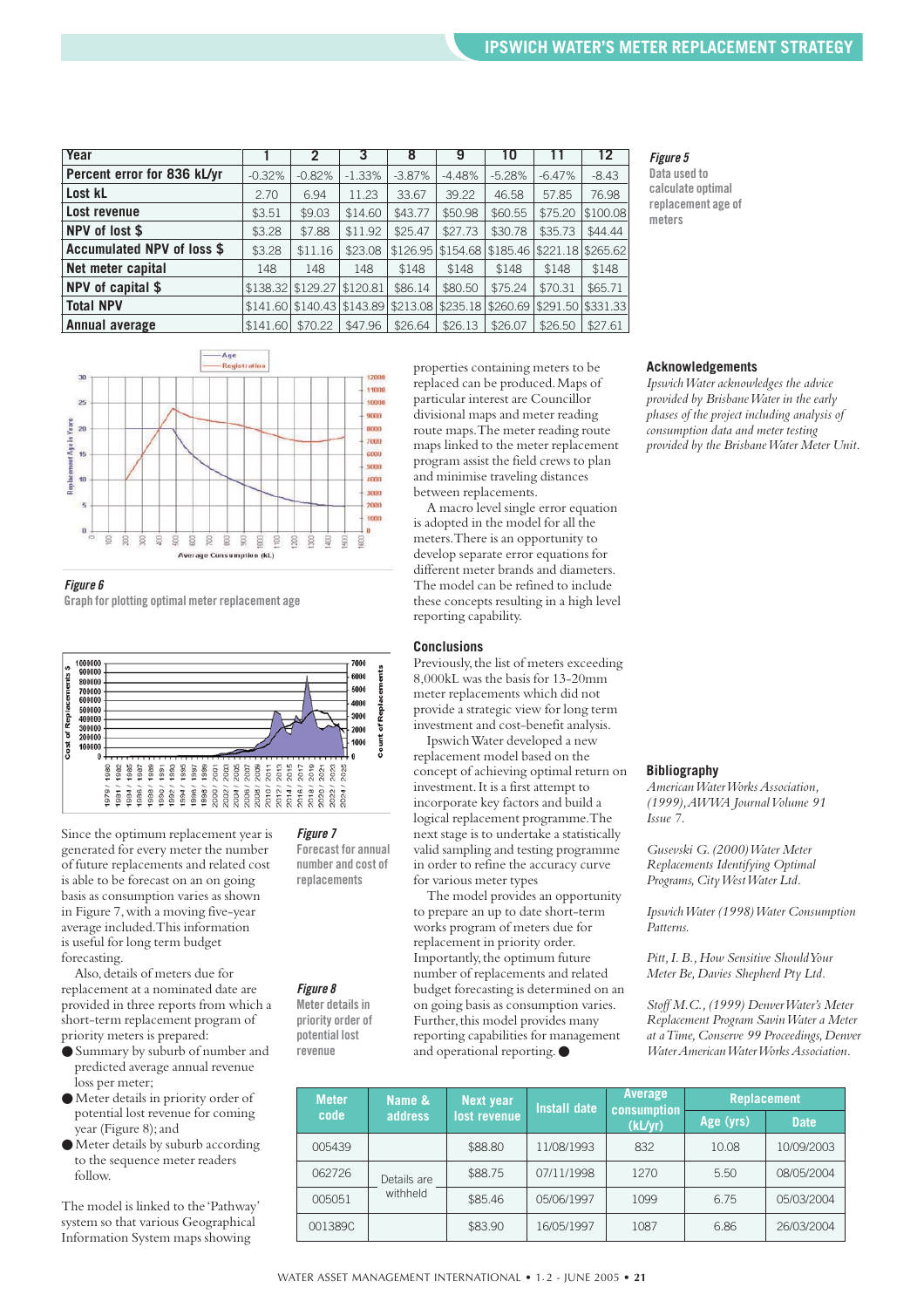| Year                        |          | 2                                                                         | 3        | 8        | 9        | 10       |                            | 12       |
|-----------------------------|----------|---------------------------------------------------------------------------|----------|----------|----------|----------|----------------------------|----------|
| Percent error for 836 kL/yr | $-0.32%$ | $-0.82%$                                                                  | $-1.33%$ | $-3.87%$ | $-4.48%$ | $-5.28%$ | $-6.47%$                   | $-8.43$  |
| Lost kL                     | 2.70     | 6.94                                                                      | 11.23    | 33.67    | 39.22    | 46.58    | 57.85                      | 76.98    |
| Lost revenue                | \$3.51   | \$9.03                                                                    | \$14.60  | \$43.77  | \$50.98  | \$60.55  | \$75.20                    | \$100.08 |
| NPV of lost \$              | \$3.28   | \$7.88                                                                    | \$11.92  | \$25.47  | \$27.73  | \$30.78  | \$35.73                    | \$44.44  |
| Accumulated NPV of loss \$  | \$3.28   | \$11.16                                                                   | \$23.08  | \$126.95 | \$154.68 |          | \$185.46 \$221.18 \$265.62 |          |
| Net meter capital           | 148      | 148                                                                       | 148      | \$148    | \$148    | \$148    | \$148                      | \$148    |
| NPV of capital \$           |          | \$138.32 \$129.27 \$120.81                                                |          | \$86.14  | \$80.50  | \$75.24  | \$70.31                    | \$65.71  |
| <b>Total NPV</b>            |          | $$141.60$  \$140.43 \$143.89 \$213.08 \$235.18 \$260.69 \$291.50 \$331.33 |          |          |          |          |                            |          |
| Annual average              | \$141.60 | \$70.22                                                                   | \$47.96  | \$26.64  | \$26.13  | \$26.07  | \$26.50                    | \$27.61  |
|                             |          |                                                                           |          |          |          |          |                            |          |

*Figure 5*

**Data used to calculate optimal replacement age of meters**



#### *Figure 6*

**Graph for plotting optimal meter replacement age**



*Figure 7* **Forecast for annual number and cost of replacements**

*Figure 8* **Meter details in priority order of potential lost revenue**

Since the optimum replacement year is generated for every meter the number of future replacements and related cost is able to be forecast on an on going basis as consumption varies as shown in Figure 7,with a moving five-year average included.This information is useful for long term budget forecasting.

Also,details of meters due for replacement at a nominated date are provided in three reports from which a short-term replacement program of priority meters is prepared:

- Summary by suburb of number and predicted average annual revenue loss per meter;
- Meter details in priority order of potential lost revenue for coming year (Figure 8);and
- Meter details by suburb according to the sequence meter readers follow.

The model is linked to the 'Pathway' system so that various Geographical Information System maps showing

properties containing meters to be replaced can be produced.Maps of particular interest are Councillor divisional maps and meter reading route maps.The meter reading route maps linked to the meter replacement program assist the field crews to plan and minimise traveling distances between replacements.

A macro level single error equation is adopted in the model for all the meters.There is an opportunity to develop separate error equations for different meter brands and diameters. The model can be refined to include these concepts resulting in a high level reporting capability.

#### **Conclusions**

Previously, the list of meters exceeding 8,000kL was the basis for 13-20mm meter replacements which did not provide a strategic view for long term investment and cost-benefit analysis.

Ipswich Water developed a new replacement model based on the concept of achieving optimal return on investment.It is a first attempt to incorporate key factors and build a logical replacement programme.The next stage is to undertake a statistically valid sampling and testing programme in order to refine the accuracy curve for various meter types

The model provides an opportunity to prepare an up to date short-term works program of meters due for replacement in priority order. Importantly,the optimum future number of replacements and related budget forecasting is determined on an on going basis as consumption varies. Further, this model provides many reporting capabilities for management and operational reporting.●

#### **Acknowledgements**

*Ipswich Water acknowledges the advice provided by Brisbane Water in the early phases of the project including analysis of consumption data and meter testing provided by the Brisbane Water Meter Unit.*

#### **Bibliography**

*American Water Works Association, (1999),AWWA Journal Volume 91 Issue 7.*

*Gusevski G.(2000) Water Meter Replacements Identifying Optimal* Programs, City West Water Ltd.

*Ipswich Water (1998) Water Consumption Patterns.*

*Pitt,I.B.,How Sensitive Should Your Meter Be,Davies Shepherd Pty Ltd.*

*Stoff M.C.,(1999) Denver Water's Meter Replacement Program Savin Water a Meter at a Time,Conserve 99 Proceedings,Denver Water American Water Works Association.*

| <b>Meter</b> | Name &      | Next year    | Average<br>Install date<br>consumption |         | <b>Replacement</b> |             |
|--------------|-------------|--------------|----------------------------------------|---------|--------------------|-------------|
| code         | address     | lost revenue |                                        | (kL/yr) | Age (yrs)          | <b>Date</b> |
| 005439       |             | \$88.80      | 11/08/1993                             | 832     | 10.08              | 10/09/2003  |
| 062726       | Details are | \$88.75      | 07/11/1998                             | 1270    | 5.50               | 08/05/2004  |
| 005051       | withheld    | \$85.46      | 05/06/1997                             | 1099    | 6.75               | 05/03/2004  |
| 001389C      |             | \$83.90      | 16/05/1997                             | 1087    | 6.86               | 26/03/2004  |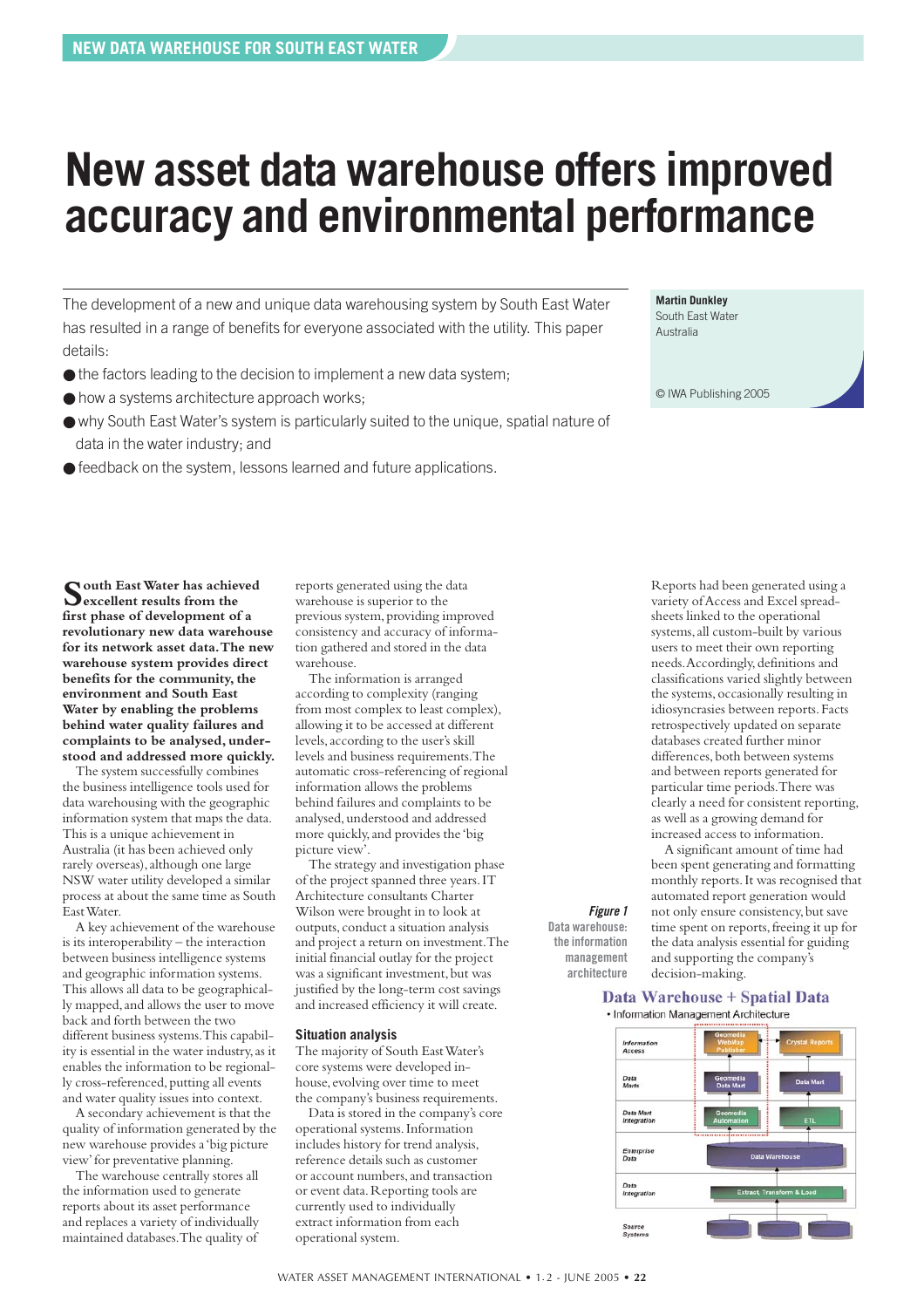### <span id="page-21-0"></span>**New asset data warehouse offers improved accuracy and environmental performance**

The development of a new and unique data warehousing system by South East Water has resulted in a range of benefits for everyone associated with the utility. This paper details:

- $\bullet$  the factors leading to the decision to implement a new data system;
- how a systems architecture approach works;
- why South East Water's system is particularly suited to the unique, spatial nature of data in the water industry; and
- feedback on the system, lessons learned and future applications.

**Martin Dunkley**  South East Water Australia

© IWA Publishing 2005

**South East Water has achieved excellent results from the first phase of development of a revolutionary new data warehouse for its network asset data.The new warehouse system provides direct** benefits for the community, the **environment and South East Water by enabling the problems behind water quality failures and complaints to be analysed, understood and addressed more quickly.**

The system successfully combines the business intelligence tools used for data warehousing with the geographic information system that maps the data. This is a unique achievement in Australia (it has been achieved only rarely overseas), although one large NSW water utility developed a similar process at about the same time as South East Water.

A key achievement of the warehouse is its interoperability – the interaction between business intelligence systems and geographic information systems. This allows all data to be geographically mapped,and allows the user to move back and forth between the two different business systems.This capability is essential in the water industry,as it enables the information to be regionally cross-referenced,putting all events and water quality issues into context.

A secondary achievement is that the quality of information generated by the new warehouse provides a 'big picture view'for preventative planning.

The warehouse centrally stores all the information used to generate reports about its asset performance and replaces a variety of individually maintained databases.The quality of

reports generated using the data warehouse is superior to the previous system, providing improved consistency and accuracy of information gathered and stored in the data warehouse.

The information is arranged according to complexity (ranging from most complex to least complex), allowing it to be accessed at different levels,according to the user's skill levels and business requirements.The automatic cross-referencing of regional information allows the problems behind failures and complaints to be analysed,understood and addressed more quickly,and provides the 'big picture view'.

The strategy and investigation phase of the project spanned three years.IT Architecture consultants Charter Wilson were brought in to look at outputs, conduct a situation analysis and project a return on investment.The initial financial outlay for the project was a significant investment, but was justified by the long-term cost savings and increased efficiency it will create.

#### **Situation analysis**

The majority of South East Water's core systems were developed inhouse, evolving over time to meet the company's business requirements.

Data is stored in the company's core operational systems.Information includes history for trend analysis, reference details such as customer or account numbers,and transaction or event data.Reporting tools are currently used to individually extract information from each operational system.

Reports had been generated using a variety of Access and Excel spreadsheets linked to the operational systems,all custom-built by various users to meet their own reporting needs.Accordingly,definitions and classifications varied slightly between the systems,occasionally resulting in idiosyncrasies between reports.Facts retrospectively updated on separate databases created further minor differences, both between systems and between reports generated for particular time periods.There was clearly a need for consistent reporting, as well as a growing demand for increased access to information.

A significant amount of time had been spent generating and formatting monthly reports.It was recognised that automated report generation would not only ensure consistency,but save time spent on reports,freeing it up for the data analysis essential for guiding and supporting the company's decision-making.

#### Data Warehouse + Spatial Data · Information Management Architecture

*Figure 1* **Data warehouse: the information management architecture**

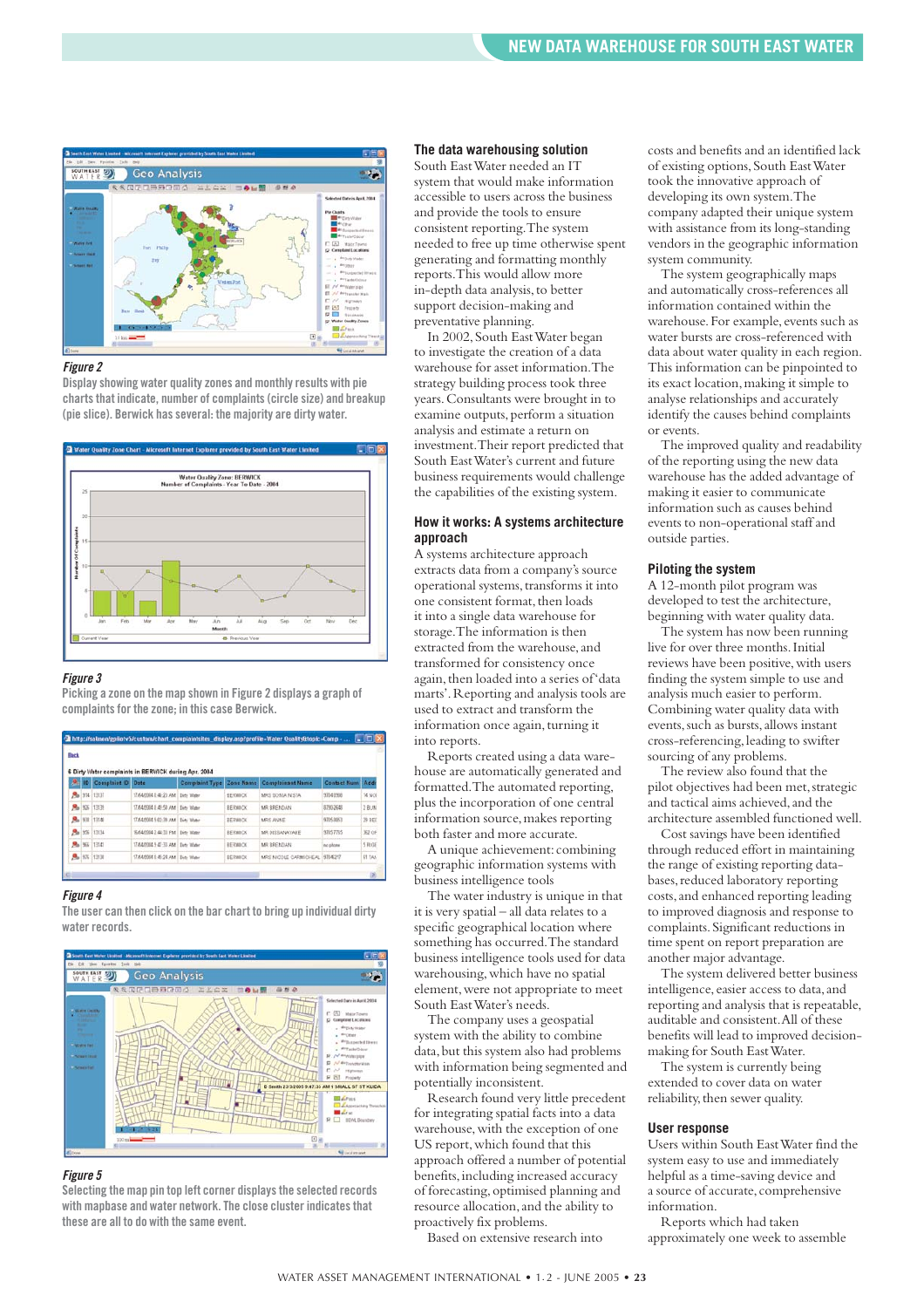

#### *Figure 2*

**Display showing water quality zones and monthly results with pie charts that indicate, number of complaints (circle size) and breakup (pie slice). Berwick has several: the majority are dirty water.** 



#### *Figure 3*

**Picking a zone on the map shown in Figure 2 displays a graph of complaints for the zone; in this case Berwick.**

| <b>Back</b> |                                   | 6 Dirty Water complaints in BERV/ICK during Apr. 2004 |                |                                           |                  |        |
|-------------|-----------------------------------|-------------------------------------------------------|----------------|-------------------------------------------|------------------|--------|
|             | <sup>9</sup> ID Complaint ID Date |                                                       |                | Complaint Type Zone Name Complainant Name | Contact Num Adds |        |
|             | <b>Ro</b> 914 13137               | 17/04/2004 S 46-23 AM Dide Water                      | <b>BERMACK</b> | MRS SONIA NISTA                           | 9704 0908        | 14 Not |
|             | <b>Ro</b> 926 13139               | 17/04/2004 8:49:50 AM Dirty Water                     | <b>BERMOCK</b> | MR BRENGAN                                | 3790-2640        | 2808   |
|             | <b>Pa 930 13140</b>               | 17/04/2004 9:02:39 AM Dirty Water                     | <b>BERWICK</b> | MRS ANNE                                  | 9705-8053        | 29 BEE |
|             | <b>Ro</b> 956 13134               | 16/04/2004 2:44 33 PM Dirty Water                     | <b>BERWICK</b> | MR DISSANAYAKE                            | 97057765         | 362 OF |
|             | <b>R</b> <sub>B</sub> 955 13141   | 17/04/2004 9:47:33 AM Detr Water                      | <b>BERMCK</b>  | MR BRENGAN                                | no phone         | 5 RIGE |
|             | 8 176 13130                       | 17/04/2004 8:45:24 AM Dirty Water                     | <b>BERWICK</b> | MRS NICOLE CARMICHEAL 9704217             |                  | 51 TAN |

#### *Figure 4*

**The user can then click on the bar chart to bring up individual dirty water records.**



#### *Figure 5*

**Selecting the map pin top left corner displays the selected records with mapbase and water network. The close cluster indicates that these are all to do with the same event.** 

#### **The data warehousing solution**

South East Water needed an IT system that would make information accessible to users across the business and provide the tools to ensure consistent reporting.The system needed to free up time otherwise spent generating and formatting monthly reports.This would allow more in-depth data analysis,to better support decision-making and preventative planning.

In 2002,South East Water began to investigate the creation of a data warehouse for asset information.The strategy building process took three years.Consultants were brought in to examine outputs, perform a situation analysis and estimate a return on investment.Their report predicted that South East Water's current and future business requirements would challenge the capabilities of the existing system.

#### **How it works: A systems architecture approach**

A systems architecture approach extracts data from a company's source operational systems,transforms it into one consistent format, then loads it into a single data warehouse for storage.The information is then extracted from the warehouse, and transformed for consistency once again,then loaded into a series of 'data marts'.Reporting and analysis tools are used to extract and transform the information once again,turning it into reports.

Reports created using a data warehouse are automatically generated and formatted.The automated reporting, plus the incorporation of one central information source, makes reporting both faster and more accurate.

A unique achievement: combining geographic information systems with business intelligence tools

**DO** 

The water industry is unique in that it is very spatial – all data relates to a specific geographical location where something has occurred.The standard business intelligence tools used for data warehousing,which have no spatial element,were not appropriate to meet South East Water's needs.

The company uses a geospatial system with the ability to combine data,but this system also had problems with information being segmented and potentially inconsistent.

Research found very little precedent for integrating spatial facts into a data warehouse, with the exception of one US report,which found that this approach offered a number of potential benefits,including increased accuracy of forecasting,optimised planning and resource allocation, and the ability to proactively fix problems.

Based on extensive research into

costs and benefits and an identified lack of existing options,South East Water took the innovative approach of developing its own system.The company adapted their unique system with assistance from its long-standing vendors in the geographic information system community.

The system geographically maps and automatically cross-references all information contained within the warehouse. For example, events such as water bursts are cross-referenced with data about water quality in each region. This information can be pinpointed to its exact location,making it simple to analyse relationships and accurately identify the causes behind complaints or events.

The improved quality and readability of the reporting using the new data warehouse has the added advantage of making it easier to communicate information such as causes behind events to non-operational staff and outside parties.

#### **Piloting the system**

A 12-month pilot program was developed to test the architecture, beginning with water quality data.

The system has now been running live for over three months.Initial reviews have been positive, with users finding the system simple to use and analysis much easier to perform. Combining water quality data with events, such as bursts, allows instant cross-referencing, leading to swifter sourcing of any problems.

The review also found that the pilot objectives had been met,strategic and tactical aims achieved,and the architecture assembled functioned well.

Cost savings have been identified through reduced effort in maintaining the range of existing reporting databases, reduced laboratory reporting costs,and enhanced reporting leading to improved diagnosis and response to complaints.Significant reductions in time spent on report preparation are another major advantage.

The system delivered better business intelligence, easier access to data, and reporting and analysis that is repeatable, auditable and consistent.All of these benefits will lead to improved decisionmaking for South East Water.

The system is currently being extended to cover data on water reliability, then sewer quality.

#### **User response**

Users within South East Water find the system easy to use and immediately helpful as a time-saving device and a source of accurate, comprehensive information.

Reports which had taken approximately one week to assemble